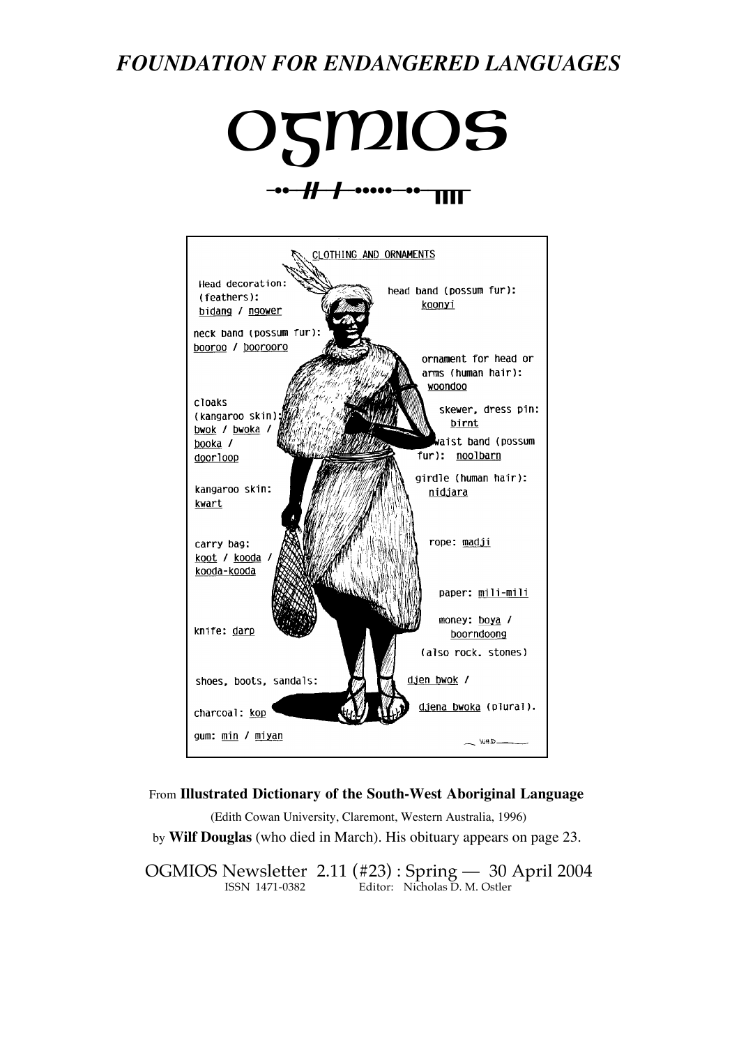# *FOUNDATION FOR ENDANGERED LANGUAGES*





## From **Illustrated Dictionary of the South-West Aboriginal Language**

 (Edith Cowan University, Claremont, Western Australia, 1996) by **Wilf Douglas** (who died in March). His obituary appears on page 23.

OGMIOS Newsletter 2.11 (#23) : Spring — 30 April 2004 ISSN 1471-0382 Editor: Nicholas D. M. Ostler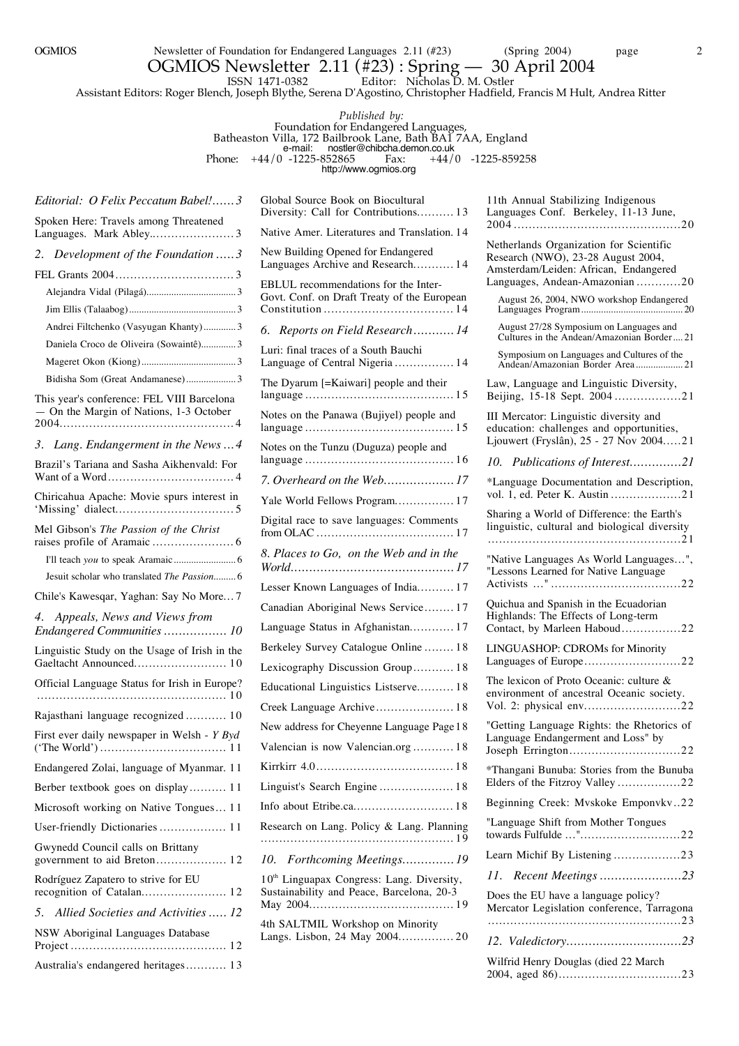## OGMIOS Newsletter of Foundation for Endangered Languages 2.11 (#23) (Spring 2004) page 2

OGMIOS Newsletter 2.11 (#23) : Spring — 30 April 2004

ISSN 1471-0382 Editor: Nicholas D. M. Ostler

Assistant Editors: Roger Blench, Joseph Blythe, Serena D'Agostino, Christopher Hadfield, Francis M Hult, Andrea Ritter

*Published by:*<br>Foundation for Endangered Languages,<br>Batheaston Villa, 172 Bailbrook Lane, Bath BA1 7AA, England<br>e-mail: nostler@chibcha.demon.co.uk

Phone: +44/0 -1225-852865 Fax: +44/0 -1225-859258 http://www.ogmios.org

| Editorial: O Felix Peccatum Babel!3<br>Spoken Here: Travels among Threatened          | Global Source Book on Biocultural<br>Diversity: Call for Contributions 13                          | 11th Annual Stabilizing Indigenous<br>Languages Conf. Berkeley, 11-13 June,                                            |
|---------------------------------------------------------------------------------------|----------------------------------------------------------------------------------------------------|------------------------------------------------------------------------------------------------------------------------|
|                                                                                       | Native Amer. Literatures and Translation. 14                                                       |                                                                                                                        |
| 2. Development of the Foundation  3                                                   | New Building Opened for Endangered<br>Languages Archive and Research 14                            | Netherlands Organization for Scientific<br>Research (NWO), 23-28 August 2004,<br>Amsterdam/Leiden: African, Endangered |
|                                                                                       | EBLUL recommendations for the Inter-                                                               | Languages, Andean-Amazonian 20                                                                                         |
|                                                                                       | Govt. Conf. on Draft Treaty of the European                                                        | August 26, 2004, NWO workshop Endangered                                                                               |
| Andrei Filtchenko (Vasyugan Khanty)3                                                  | 6. Reports on Field Research14                                                                     | August 27/28 Symposium on Languages and<br>Cultures in the Andean/Amazonian Border21                                   |
| Daniela Croco de Oliveira (Sowaintê)3                                                 | Luri: final traces of a South Bauchi<br>Language of Central Nigeria  14                            | Symposium on Languages and Cultures of the<br>Andean/Amazonian Border Area21                                           |
| Bidisha Som (Great Andamanese)3                                                       | The Dyarum [=Kaiwari] people and their                                                             | Law, Language and Linguistic Diversity,                                                                                |
| This year's conference: FEL VIII Barcelona<br>- On the Margin of Nations, 1-3 October |                                                                                                    | Beijing, 15-18 Sept. 2004 21                                                                                           |
|                                                                                       | Notes on the Panawa (Bujiyel) people and                                                           | III Mercator: Linguistic diversity and<br>education: challenges and opportunities,                                     |
| 3. Lang. Endangerment in the News  4                                                  | Notes on the Tunzu (Duguza) people and                                                             | Ljouwert (Fryslân), 25 - 27 Nov 200421                                                                                 |
| Brazil's Tariana and Sasha Aikhenvald: For                                            |                                                                                                    | 10. Publications of Interest21                                                                                         |
| Chiricahua Apache: Movie spurs interest in                                            | 7. Overheard on the Web17                                                                          | *Language Documentation and Description,                                                                               |
|                                                                                       | Yale World Fellows Program 17                                                                      | Sharing a World of Difference: the Earth's                                                                             |
| Mel Gibson's The Passion of the Christ                                                | Digital race to save languages: Comments                                                           | linguistic, cultural and biological diversity                                                                          |
|                                                                                       | 8. Places to Go, on the Web and in the                                                             | "Native Languages As World Languages",                                                                                 |
| Jesuit scholar who translated The Passion 6                                           |                                                                                                    | "Lessons Learned for Native Language                                                                                   |
| Chile's Kawesqar, Yaghan: Say No More7                                                | Lesser Known Languages of India 17                                                                 |                                                                                                                        |
| 4. Appeals, News and Views from                                                       | Canadian Aboriginal News Service 17                                                                | Quichua and Spanish in the Ecuadorian<br>Highlands: The Effects of Long-term                                           |
| Endangered Communities  10                                                            | Language Status in Afghanistan 17                                                                  | Contact, by Marleen Haboud22                                                                                           |
| Linguistic Study on the Usage of Irish in the<br>Gaeltacht Announced 10               | Berkeley Survey Catalogue Online  18<br>Lexicography Discussion Group 18                           | LINGUASHOP: CDROMs for Minority<br>Languages of Europe22                                                               |
| Official Language Status for Irish in Europe?                                         | Educational Linguistics Listserve 18                                                               | The lexicon of Proto Oceanic: culture &                                                                                |
|                                                                                       |                                                                                                    | environment of ancestral Oceanic society.<br>Vol. 2: physical env22                                                    |
| Rajasthani language recognized  10                                                    |                                                                                                    |                                                                                                                        |
| First ever daily newspaper in Welsh - Y Byd                                           | New address for Cheyenne Language Page 18<br>Valencian is now Valencian.org 18                     | "Getting Language Rights: the Rhetorics of<br>Language Endangerment and Loss" by<br>Joseph Errington22                 |
| Endangered Zolai, language of Myanmar. 11                                             |                                                                                                    | *Thangani Bunuba: Stories from the Bunuba                                                                              |
| Berber textbook goes on display 11                                                    | Linguist's Search Engine  18                                                                       | Elders of the Fitzroy Valley 22                                                                                        |
| Microsoft working on Native Tongues 11                                                |                                                                                                    | Beginning Creek: Mvskoke Emponvkv22                                                                                    |
| User-friendly Dictionaries  11                                                        | Research on Lang. Policy & Lang. Planning                                                          | "Language Shift from Mother Tongues<br>towards Fulfulde "22                                                            |
| Gwynedd Council calls on Brittany                                                     |                                                                                                    | Learn Michif By Listening 23                                                                                           |
|                                                                                       | 10. Forthcoming Meetings19                                                                         |                                                                                                                        |
| Rodríguez Zapatero to strive for EU<br>recognition of Catalan 12                      | 10 <sup>th</sup> Linguapax Congress: Lang. Diversity,<br>Sustainability and Peace, Barcelona, 20-3 | 11. Recent Meetings 23                                                                                                 |
| 5. Allied Societies and Activities  12                                                |                                                                                                    | Does the EU have a language policy?<br>Mercator Legislation conference, Tarragona                                      |
| NSW Aboriginal Languages Database                                                     | 4th SALTMIL Workshop on Minority                                                                   |                                                                                                                        |
|                                                                                       | Langs. Lisbon, 24 May 2004 20                                                                      |                                                                                                                        |
| Australia's endangered heritages 13                                                   |                                                                                                    | Wilfrid Henry Douglas (died 22 March                                                                                   |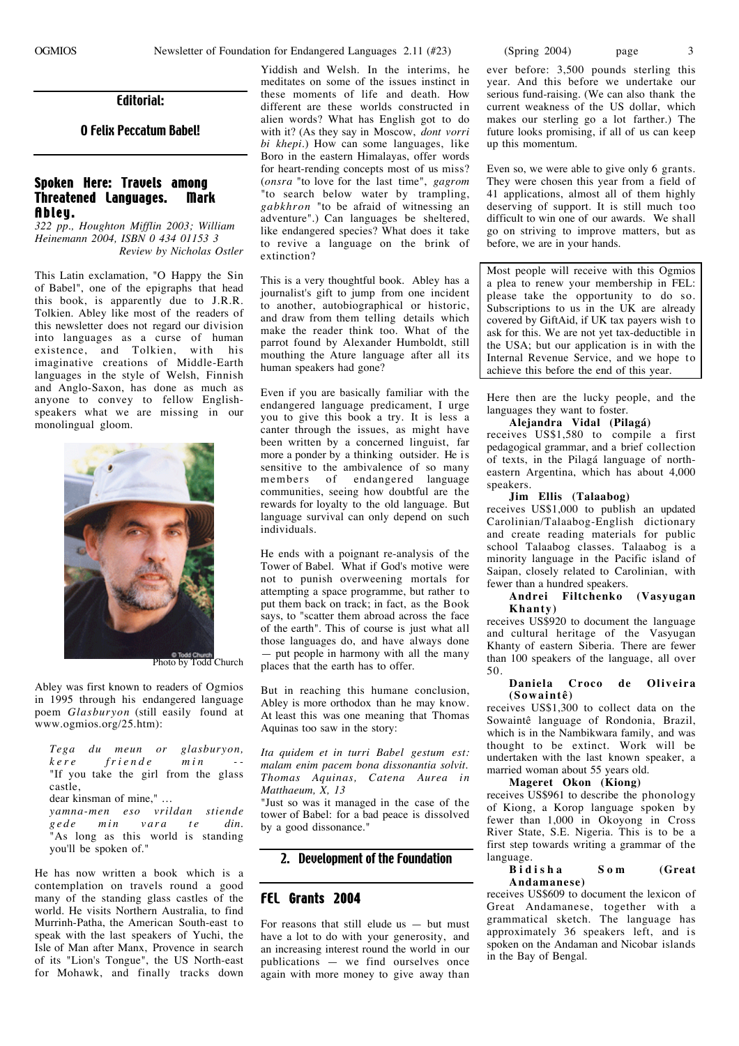### Editorial:

## O Felix Peccatum Babel!

## Spoken Here: Travels among Threatened Languages. Mark Abley.

*322 pp., Houghton Mifflin 2003; William Heinemann 2004, ISBN 0 434 01153 3 Review by Nicholas Ostler*

This Latin exclamation, "O Happy the Sin of Babel", one of the epigraphs that head this book, is apparently due to J.R.R. Tolkien. Abley like most of the readers of this newsletter does not regard our division into languages as a curse of human existence, and Tolkien, with his imaginative creations of Middle-Earth languages in the style of Welsh, Finnish and Anglo-Saxon, has done as much as anyone to convey to fellow Englishspeakers what we are missing in our monolingual gloom.



Photo by Todd Church

Abley was first known to readers of Ogmios in 1995 through his endangered language poem *Glasburyon* (still easily found at www.ogmios.org/25.htm):

*Tega du meun or glasburyon, kere friende min --* "If you take the girl from the glass castle,

dear kinsman of mine," …

*yamna-men eso vrildan stiende gede min vara te din.* "As long as this world is standing you'll be spoken of."

He has now written a book which is a contemplation on travels round a good many of the standing glass castles of the world. He visits Northern Australia, to find Murrinh-Patha, the American South-east to speak with the last speakers of Yuchi, the Isle of Man after Manx, Provence in search of its "Lion's Tongue", the US North-east for Mohawk, and finally tracks down

Yiddish and Welsh. In the interims, he meditates on some of the issues instinct in these moments of life and death. How different are these worlds constructed in alien words? What has English got to do with it? (As they say in Moscow, *dont vorri bi khepi*.) How can some languages, like Boro in the eastern Himalayas, offer words for heart-rending concepts most of us miss? (*onsra* "to love for the last time", *gagrom* "to search below water by trampling, *gabkhron* "to be afraid of witnessing an adventure".) Can languages be sheltered, like endangered species? What does it take to revive a language on the brink of extinction?

This is a very thoughtful book. Abley has a journalist's gift to jump from one incident to another, autobiographical or historic, and draw from them telling details which make the reader think too. What of the parrot found by Alexander Humboldt, still mouthing the Ature language after all its human speakers had gone?

Even if you are basically familiar with the endangered language predicament, I urge you to give this book a try. It is less a canter through the issues, as might have been written by a concerned linguist, far more a ponder by a thinking outsider. He is sensitive to the ambivalence of so many members of endangered language communities, seeing how doubtful are the rewards for loyalty to the old language. But language survival can only depend on such individuals.

He ends with a poignant re-analysis of the Tower of Babel. What if God's motive were not to punish overweening mortals for attempting a space programme, but rather to put them back on track; in fact, as the Book says, to "scatter them abroad across the face of the earth". This of course is just what all those languages do, and have always done — put people in harmony with all the many places that the earth has to offer.

But in reaching this humane conclusion, Abley is more orthodox than he may know. At least this was one meaning that Thomas Aquinas too saw in the story:

*Ita quidem et in turri Babel gestum est: malam enim pacem bona dissonantia solvit. Thomas Aquinas, Catena Aurea in Matthaeum, X, 13*

"Just so was it managed in the case of the tower of Babel: for a bad peace is dissolved by a good dissonance."

## 2. Development of the Foundation

## FEL Grants 2004

For reasons that still elude us — but must have a lot to do with your generosity, and an increasing interest round the world in our publications — we find ourselves once again with more money to give away than ever before: 3,500 pounds sterling this year. And this before we undertake our serious fund-raising. (We can also thank the current weakness of the US dollar, which makes our sterling go a lot farther.) The future looks promising, if all of us can keep up this momentum.

Even so, we were able to give only 6 grants. They were chosen this year from a field of 41 applications, almost all of them highly deserving of support. It is still much too difficult to win one of our awards. We shall go on striving to improve matters, but as before, we are in your hands.

Most people will receive with this Ogmios a plea to renew your membership in FEL: please take the opportunity to do so. Subscriptions to us in the UK are already covered by GiftAid, if UK tax payers wish to ask for this. We are not yet tax-deductible in the USA; but our application is in with the Internal Revenue Service, and we hope to achieve this before the end of this year.

Here then are the lucky people, and the languages they want to foster.

### **Alejandra Vidal (Pilagá)**

receives US\$1,580 to compile a first pedagogical grammar, and a brief collection of texts, in the Pilagá language of northeastern Argentina, which has about 4,000 speakers.

### **Jim Ellis (Talaabog)**

receives US\$1,000 to publish an updated Carolinian/Talaabog-English dictionary and create reading materials for public school Talaabog classes. Talaabog is a minority language in the Pacific island of Saipan, closely related to Carolinian, with fewer than a hundred speakers.

### **Andrei Filtchenko (Vasyugan Khanty)**

receives US\$920 to document the language and cultural heritage of the Vasyugan Khanty of eastern Siberia. There are fewer than 100 speakers of the language, all over 50.

### **Daniela Croco de Oliveira (Sowaintê)**

receives US\$1,300 to collect data on the Sowaintê language of Rondonia, Brazil, which is in the Nambikwara family, and was thought to be extinct. Work will be undertaken with the last known speaker, a married woman about 55 years old.

### **Mageret Okon (Kiong)**

receives US\$961 to describe the phonology of Kiong, a Korop language spoken by fewer than 1,000 in Okoyong in Cross River State, S.E. Nigeria. This is to be a first step towards writing a grammar of the language.

### **Bidisha Som (Great Andamanese)**

receives US\$609 to document the lexicon of Great Andamanese, together with a grammatical sketch. The language has approximately 36 speakers left, and is spoken on the Andaman and Nicobar islands in the Bay of Bengal.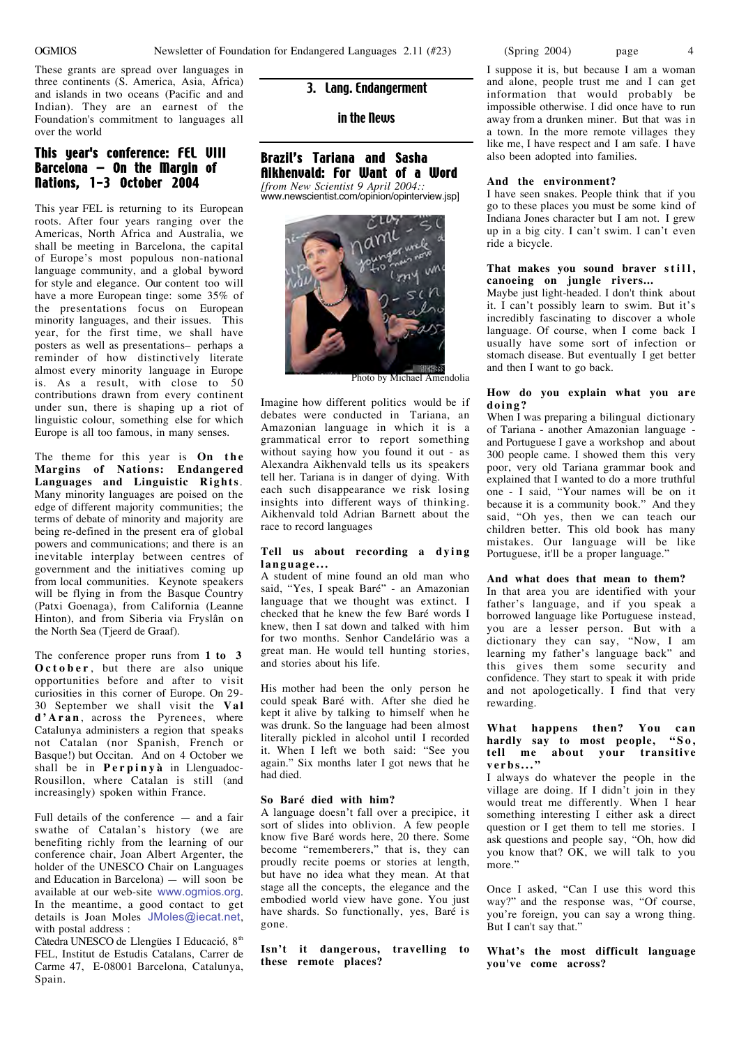These grants are spread over languages in three continents (S. America, Asia, Africa) and islands in two oceans (Pacific and and Indian). They are an earnest of the Foundation's commitment to languages all over the world

## This year's conference: FEL VIII Barcelona — On the Margin of Nations, 1-3 October 2004

This year FEL is returning to its European roots. After four years ranging over the Americas, North Africa and Australia, we shall be meeting in Barcelona, the capital of Europe's most populous non-national language community, and a global byword for style and elegance. Our content too will have a more European tinge: some 35% of the presentations focus on European minority languages, and their issues. This year, for the first time, we shall have posters as well as presentations– perhaps a reminder of how distinctively literate almost every minority language in Europe is. As a result, with close to 50 contributions drawn from every continent under sun, there is shaping up a riot of linguistic colour, something else for which Europe is all too famous, in many senses.

The theme for this year is **On the Margins of Nations: Endangered Languages and Linguistic Rights**. Many minority languages are poised on the edge of different majority communities; the terms of debate of minority and majority are being re-defined in the present era of global powers and communications; and there is an inevitable interplay between centres of government and the initiatives coming up from local communities. Keynote speakers will be flying in from the Basque Country (Patxi Goenaga), from California (Leanne Hinton), and from Siberia via Fryslân on the North Sea (Tjeerd de Graaf).

The conference proper runs from **1 to 3 October**, but there are also unique opportunities before and after to visit curiosities in this corner of Europe. On 29- 30 September we shall visit the **Val** d'Aran, across the Pyrenees, where Catalunya administers a region that speaks not Catalan (nor Spanish, French or Basque!) but Occitan. And on 4 October we shall be in **Perpinyà** in Llenguadoc-Rousillon, where Catalan is still (and increasingly) spoken within France.

Full details of the conference — and a fair swathe of Catalan's history (we are benefiting richly from the learning of our conference chair, Joan Albert Argenter, the holder of the UNESCO Chair on Languages and Education in Barcelona) — will soon be available at our web-site www.ogmios.org. In the meantime, a good contact to get details is Joan Moles JMoles@iecat.net, with postal address :

Càtedra UNESCO de Llengües I Educació, 8<sup>th</sup> FEL, Institut de Estudis Catalans, Carrer de Carme 47, E-08001 Barcelona, Catalunya, Spain.

3. Lang. Endangerment

in the News

## Brazil's Tariana and Sasha Aikhenvald: For Want of a Word

*[from New Scientist 9 April 2004::* www.newscientist.com/opinion/opinterview.jsp]



Photo by Michael Amendolia

Imagine how different politics would be if debates were conducted in Tariana, an Amazonian language in which it is a grammatical error to report something without saying how you found it out - as Alexandra Aikhenvald tells us its speakers tell her. Tariana is in danger of dying. With each such disappearance we risk losing insights into different ways of thinking. Aikhenvald told Adrian Barnett about the race to record languages

### **Tell us about recording a dying language...**

A student of mine found an old man who said, "Yes, I speak Baré" - an Amazonian language that we thought was extinct. I checked that he knew the few Baré words I knew, then I sat down and talked with him for two months. Senhor Candelário was a great man. He would tell hunting stories, and stories about his life.

His mother had been the only person he could speak Baré with. After she died he kept it alive by talking to himself when he was drunk. So the language had been almost literally pickled in alcohol until I recorded it. When I left we both said: "See you again." Six months later I got news that he had died.

### **So Baré died with him?**

A language doesn't fall over a precipice, it sort of slides into oblivion. A few people know five Baré words here, 20 there. Some become "rememberers," that is, they can proudly recite poems or stories at length, but have no idea what they mean. At that stage all the concepts, the elegance and the embodied world view have gone. You just have shards. So functionally, yes, Baré is gone.

**Isn't it dangerous, travelling to these remote places?**

I suppose it is, but because I am a woman and alone, people trust me and I can get information that would probably be impossible otherwise. I did once have to run away from a drunken miner. But that was in a town. In the more remote villages they like me, I have respect and I am safe. I have also been adopted into families.

### **And the environment?**

I have seen snakes. People think that if you go to these places you must be some kind of Indiana Jones character but I am not. I grew up in a big city. I can't swim. I can't even ride a bicycle.

### **That makes you sound braver still, canoeing on jungle rivers...**

Maybe just light-headed. I don't think about it. I can't possibly learn to swim. But it's incredibly fascinating to discover a whole language. Of course, when I come back I usually have some sort of infection or stomach disease. But eventually I get better and then I want to go back.

### **How do you explain what you are doing?**

When I was preparing a bilingual dictionary of Tariana - another Amazonian language and Portuguese I gave a workshop and about 300 people came. I showed them this very poor, very old Tariana grammar book and explained that I wanted to do a more truthful one - I said, "Your names will be on it because it is a community book." And they said, "Oh yes, then we can teach our children better. This old book has many mistakes. Our language will be like Portuguese, it'll be a proper language."

### **And what does that mean to them?**

In that area you are identified with your father's language, and if you speak a borrowed language like Portuguese instead, you are a lesser person. But with a dictionary they can say, "Now, I am learning my father's language back" and this gives them some security and confidence. They start to speak it with pride and not apologetically. I find that very rewarding.

### **What happens then? You can hardly say to most people, "So, tell me about your transitive verbs..."**

I always do whatever the people in the village are doing. If I didn't join in they would treat me differently. When I hear something interesting I either ask a direct question or I get them to tell me stories. I ask questions and people say, "Oh, how did you know that? OK, we will talk to you more."

Once I asked, "Can I use this word this way?" and the response was, "Of course, you're foreign, you can say a wrong thing. But I can't say that."

### **What's the most difficult language you've come across?**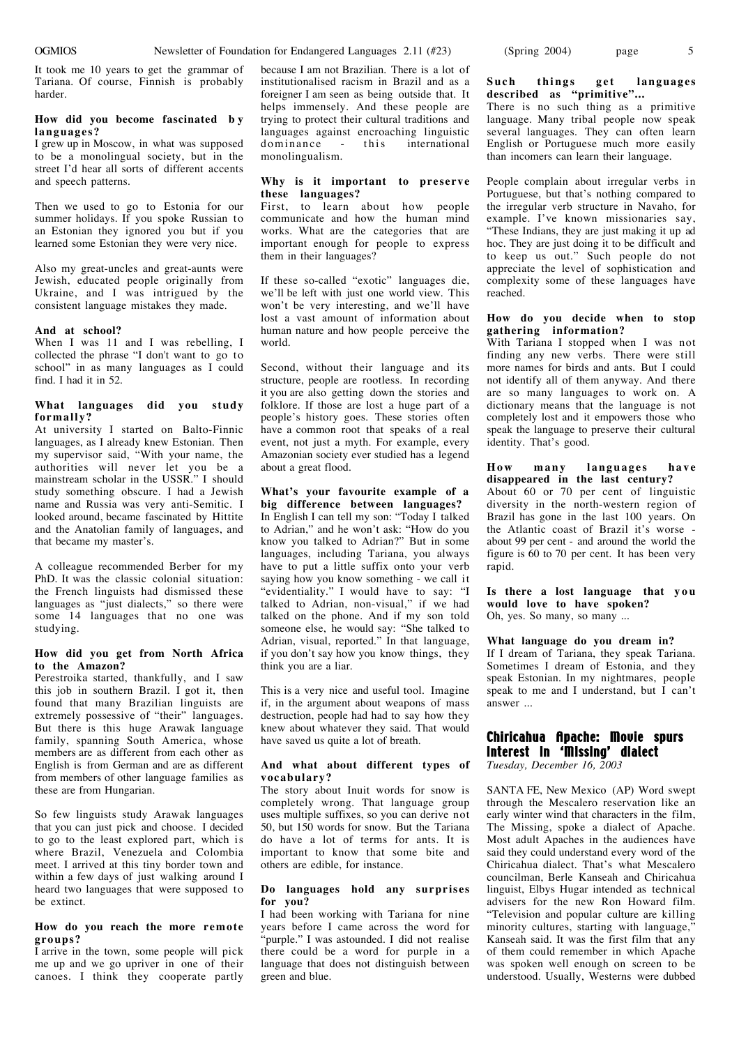It took me 10 years to get the grammar of Tariana. Of course, Finnish is probably harder.

### **How did you become fascinated b y languages?**

I grew up in Moscow, in what was supposed to be a monolingual society, but in the street I'd hear all sorts of different accents and speech patterns.

Then we used to go to Estonia for our summer holidays. If you spoke Russian to an Estonian they ignored you but if you learned some Estonian they were very nice.

Also my great-uncles and great-aunts were Jewish, educated people originally from Ukraine, and I was intrigued by the consistent language mistakes they made.

### **And at school?**

When I was 11 and I was rebelling, I collected the phrase "I don't want to go to school" in as many languages as I could find. I had it in 52.

### **What languages did you study formally?**

At university I started on Balto-Finnic languages, as I already knew Estonian. Then my supervisor said, "With your name, the authorities will never let you be a mainstream scholar in the USSR." I should study something obscure. I had a Jewish name and Russia was very anti-Semitic. I looked around, became fascinated by Hittite and the Anatolian family of languages, and that became my master's.

A colleague recommended Berber for my PhD. It was the classic colonial situation: the French linguists had dismissed these languages as "just dialects," so there were some 14 languages that no one was studying.

### **How did you get from North Africa to the Amazon?**

Perestroika started, thankfully, and I saw this job in southern Brazil. I got it, then found that many Brazilian linguists are extremely possessive of "their" languages. But there is this huge Arawak language family, spanning South America, whose members are as different from each other as English is from German and are as different from members of other language families as these are from Hungarian.

So few linguists study Arawak languages that you can just pick and choose. I decided to go to the least explored part, which is where Brazil, Venezuela and Colombia meet. I arrived at this tiny border town and within a few days of just walking around I heard two languages that were supposed to be extinct.

### **How do you reach the more remote groups?**

I arrive in the town, some people will pick me up and we go upriver in one of their canoes. I think they cooperate partly

because I am not Brazilian. There is a lot of institutionalised racism in Brazil and as a foreigner I am seen as being outside that. It helps immensely. And these people are trying to protect their cultural traditions and languages against encroaching linguistic dominance - this international monolingualism.

### **Why is it important to preserve these languages?**

First, to learn about how people communicate and how the human mind works. What are the categories that are important enough for people to express them in their languages?

If these so-called "exotic" languages die, we'll be left with just one world view. This won't be very interesting, and we'll have lost a vast amount of information about human nature and how people perceive the world.

Second, without their language and its structure, people are rootless. In recording it you are also getting down the stories and folklore. If those are lost a huge part of a people's history goes. These stories often have a common root that speaks of a real event, not just a myth. For example, every Amazonian society ever studied has a legend about a great flood.

## **What's your favourite example of a**

**big difference between languages?** In English I can tell my son: "Today I talked to Adrian," and he won't ask: "How do you know you talked to Adrian?" But in some languages, including Tariana, you always have to put a little suffix onto your verb saying how you know something - we call it "evidentiality." I would have to say: "I talked to Adrian, non-visual," if we had talked on the phone. And if my son told someone else, he would say: "She talked to Adrian, visual, reported." In that language, if you don't say how you know things, they think you are a liar.

This is a very nice and useful tool. Imagine if, in the argument about weapons of mass destruction, people had had to say how they knew about whatever they said. That would have saved us quite a lot of breath.

### **And what about different types of vocabulary?**

The story about Inuit words for snow is completely wrong. That language group uses multiple suffixes, so you can derive not 50, but 150 words for snow. But the Tariana do have a lot of terms for ants. It is important to know that some bite and others are edible, for instance.

### **Do languages hold any surprises for you?**

I had been working with Tariana for nine years before I came across the word for "purple." I was astounded. I did not realise there could be a word for purple in a language that does not distinguish between green and blue.

**Such things get languages described as "primitive"...** There is no such thing as a primitive language. Many tribal people now speak several languages. They can often learn English or Portuguese much more easily than incomers can learn their language.

People complain about irregular verbs in Portuguese, but that's nothing compared to the irregular verb structure in Navaho, for example. I've known missionaries say, "These Indians, they are just making it up ad hoc. They are just doing it to be difficult and to keep us out." Such people do not appreciate the level of sophistication and complexity some of these languages have reached.

### **How do you decide when to stop gathering information?**

With Tariana I stopped when I was not finding any new verbs. There were still more names for birds and ants. But I could not identify all of them anyway. And there are so many languages to work on. A dictionary means that the language is not completely lost and it empowers those who speak the language to preserve their cultural identity. That's good.

**How many languages have disappeared in the last century?** About 60 or 70 per cent of linguistic diversity in the north-western region of Brazil has gone in the last 100 years. On the Atlantic coast of Brazil it's worse about 99 per cent - and around the world the figure is 60 to 70 per cent. It has been very rapid.

**Is there a lost language that you would love to have spoken?** Oh, yes. So many, so many ...

**What language do you dream in?** If I dream of Tariana, they speak Tariana. Sometimes I dream of Estonia, and they speak Estonian. In my nightmares, people speak to me and I understand, but  $\overline{I}$  can't answer ...

## Chiricahua Apache: Movie spurs interest in 'Missing' dialect

*Tuesday, December 16, 2003*

SANTA FE, New Mexico (AP) Word swept through the Mescalero reservation like an early winter wind that characters in the film, The Missing, spoke a dialect of Apache. Most adult Apaches in the audiences have said they could understand every word of the Chiricahua dialect. That's what Mescalero councilman, Berle Kanseah and Chiricahua linguist, Elbys Hugar intended as technical advisers for the new Ron Howard film. "Television and popular culture are killing minority cultures, starting with language, Kanseah said. It was the first film that any of them could remember in which Apache was spoken well enough on screen to be understood. Usually, Westerns were dubbed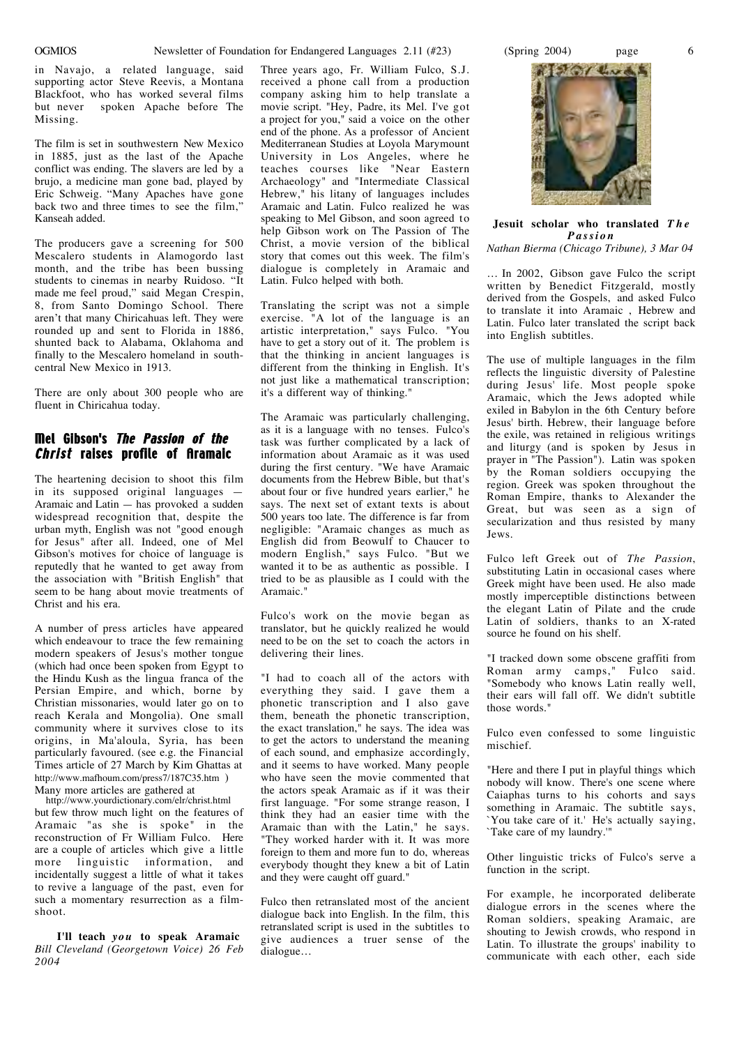in Navajo, a related language, said supporting actor Steve Reevis, a Montana Blackfoot, who has worked several films but never spoken Apache before The Missing.

The film is set in southwestern New Mexico in 1885, just as the last of the Apache conflict was ending. The slavers are led by a brujo, a medicine man gone bad, played by Eric Schweig. "Many Apaches have gone back two and three times to see the film," Kanseah added.

The producers gave a screening for 500 Mescalero students in Alamogordo last month, and the tribe has been bussing students to cinemas in nearby Ruidoso. "It made me feel proud," said Megan Crespin, 8, from Santo Domingo School. There aren't that many Chiricahuas left. They were rounded up and sent to Florida in 1886, shunted back to Alabama, Oklahoma and finally to the Mescalero homeland in southcentral New Mexico in 1913.

There are only about 300 people who are fluent in Chiricahua today.

## Mel Gibson's The Passion of the Christ raises profile of Aramaic

The heartening decision to shoot this film in its supposed original languages — Aramaic and Latin — has provoked a sudden widespread recognition that, despite the urban myth, English was not "good enough for Jesus" after all. Indeed, one of Mel Gibson's motives for choice of language is reputedly that he wanted to get away from the association with "British English" that seem to be hang about movie treatments of Christ and his era.

A number of press articles have appeared which endeavour to trace the few remaining modern speakers of Jesus's mother tongue (which had once been spoken from Egypt to the Hindu Kush as the lingua franca of the Persian Empire, and which, borne by Christian missonaries, would later go on to reach Kerala and Mongolia). One small community where it survives close to its origins, in Ma'aloula, Syria, has been particularly favoured. (see e.g. the Financial Times article of 27 March by Kim Ghattas at http://www.mafhoum.com/press7/187C35.htm ) Many more articles are gathered at

http://www.yourdictionary.com/elr/christ.html but few throw much light on the features of Aramaic "as she is spoke" in the reconstruction of Fr William Fulco. Here are a couple of articles which give a little more linguistic information, and incidentally suggest a little of what it takes to revive a language of the past, even for such a momentary resurrection as a filmshoot.

**I'll teach** *you* **to speak Aramaic** *Bill Cleveland (Georgetown Voice) 26 Feb 2004*

Three years ago, Fr. William Fulco, S.J. received a phone call from a production company asking him to help translate a movie script. "Hey, Padre, its Mel. I've got a project for you," said a voice on the other end of the phone. As a professor of Ancient Mediterranean Studies at Loyola Marymount University in Los Angeles, where he teaches courses like "Near Eastern Archaeology" and "Intermediate Classical Hebrew," his litany of languages includes Aramaic and Latin. Fulco realized he was speaking to Mel Gibson, and soon agreed to help Gibson work on The Passion of The Christ, a movie version of the biblical story that comes out this week. The film's dialogue is completely in Aramaic and Latin. Fulco helped with both.

Translating the script was not a simple exercise. "A lot of the language is an artistic interpretation," says Fulco. "You have to get a story out of it. The problem is that the thinking in ancient languages is different from the thinking in English. It's not just like a mathematical transcription; it's a different way of thinking."

The Aramaic was particularly challenging, as it is a language with no tenses. Fulco's task was further complicated by a lack of information about Aramaic as it was used during the first century. "We have Aramaic documents from the Hebrew Bible, but that's about four or five hundred years earlier," he says. The next set of extant texts is about 500 years too late. The difference is far from negligible: "Aramaic changes as much as English did from Beowulf to Chaucer to modern English," says Fulco. "But we wanted it to be as authentic as possible. I tried to be as plausible as I could with the Aramaic."

Fulco's work on the movie began as translator, but he quickly realized he would need to be on the set to coach the actors in delivering their lines.

"I had to coach all of the actors with everything they said. I gave them a phonetic transcription and I also gave them, beneath the phonetic transcription, the exact translation," he says. The idea was to get the actors to understand the meaning of each sound, and emphasize accordingly, and it seems to have worked. Many people who have seen the movie commented that the actors speak Aramaic as if it was their first language. "For some strange reason, I think they had an easier time with the Aramaic than with the Latin," he says. "They worked harder with it. It was more foreign to them and more fun to do, whereas everybody thought they knew a bit of Latin and they were caught off guard."

Fulco then retranslated most of the ancient dialogue back into English. In the film, this retranslated script is used in the subtitles to give audiences a truer sense of the dialogue…



**Jesuit scholar who translated** *The Passion Nathan Bierma (Chicago Tribune), 3 Mar 04*

… In 2002, Gibson gave Fulco the script written by Benedict Fitzgerald, mostly derived from the Gospels, and asked Fulco to translate it into Aramaic , Hebrew and Latin. Fulco later translated the script back into English subtitles.

The use of multiple languages in the film reflects the linguistic diversity of Palestine during Jesus' life. Most people spoke Aramaic, which the Jews adopted while exiled in Babylon in the 6th Century before Jesus' birth. Hebrew, their language before the exile, was retained in religious writings and liturgy (and is spoken by Jesus in prayer in "The Passion"). Latin was spoken by the Roman soldiers occupying the region. Greek was spoken throughout the Roman Empire, thanks to Alexander the Great, but was seen as a sign of secularization and thus resisted by many Jews.

Fulco left Greek out of *The Passion*, substituting Latin in occasional cases where Greek might have been used. He also made mostly imperceptible distinctions between the elegant Latin of Pilate and the crude Latin of soldiers, thanks to an X-rated source he found on his shelf.

"I tracked down some obscene graffiti from Roman army camps," Fulco said. "Somebody who knows Latin really well, their ears will fall off. We didn't subtitle those words."

Fulco even confessed to some linguistic mischief.

"Here and there I put in playful things which nobody will know. There's one scene where Caiaphas turns to his cohorts and says something in Aramaic. The subtitle says, `You take care of it.' He's actually saying, `Take care of my laundry.'"

Other linguistic tricks of Fulco's serve a function in the script.

For example, he incorporated deliberate dialogue errors in the scenes where the Roman soldiers, speaking Aramaic, are shouting to Jewish crowds, who respond in Latin. To illustrate the groups' inability to communicate with each other, each side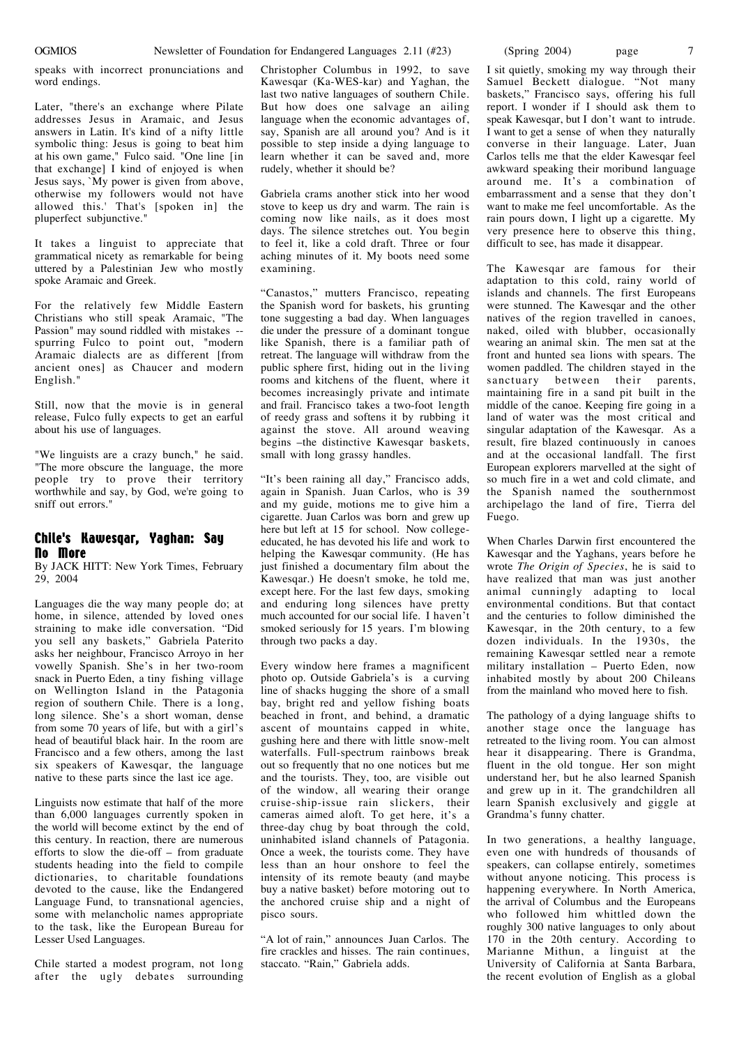speaks with incorrect pronunciations and word endings.

Later, "there's an exchange where Pilate addresses Jesus in Aramaic, and Jesus answers in Latin. It's kind of a nifty little symbolic thing: Jesus is going to beat him at his own game," Fulco said. "One line [in that exchange] I kind of enjoyed is when Jesus says, `My power is given from above, otherwise my followers would not have allowed this.' That's [spoken in] the pluperfect subjunctive."

It takes a linguist to appreciate that grammatical nicety as remarkable for being uttered by a Palestinian Jew who mostly spoke Aramaic and Greek.

For the relatively few Middle Eastern Christians who still speak Aramaic, "The Passion" may sound riddled with mistakes - spurring Fulco to point out, "modern Aramaic dialects are as different [from ancient ones] as Chaucer and modern English."

Still, now that the movie is in general release, Fulco fully expects to get an earful about his use of languages.

"We linguists are a crazy bunch," he said. "The more obscure the language, the more people try to prove their territory worthwhile and say, by God, we're going to sniff out errors."

## Chile's Kawesqar, Yaghan: Say No More

By JACK HITT: New York Times, February 29, 2004

Languages die the way many people do; at home, in silence, attended by loved ones straining to make idle conversation. "Did you sell any baskets," Gabriela Paterito asks her neighbour, Francisco Arroyo in her vowelly Spanish. She's in her two-room snack in Puerto Eden, a tiny fishing village on Wellington Island in the Patagonia region of southern Chile. There is a long, long silence. She's a short woman, dense from some 70 years of life, but with a girl's head of beautiful black hair. In the room are Francisco and a few others, among the last six speakers of Kawesqar, the language native to these parts since the last ice age.

Linguists now estimate that half of the more than 6,000 languages currently spoken in the world will become extinct by the end of this century. In reaction, there are numerous efforts to slow the die-off – from graduate students heading into the field to compile dictionaries, to charitable foundations devoted to the cause, like the Endangered Language Fund, to transnational agencies, some with melancholic names appropriate to the task, like the European Bureau for Lesser Used Languages.

Chile started a modest program, not long after the ugly debates surrounding Christopher Columbus in 1992, to save Kawesqar (Ka-WES-kar) and Yaghan, the last two native languages of southern Chile. But how does one salvage an ailing language when the economic advantages of. say, Spanish are all around you? And is it possible to step inside a dying language to learn whether it can be saved and, more rudely, whether it should be?

Gabriela crams another stick into her wood stove to keep us dry and warm. The rain is coming now like nails, as it does most days. The silence stretches out. You begin to feel it, like a cold draft. Three or four aching minutes of it. My boots need some examining.

"Canastos," mutters Francisco, repeating the Spanish word for baskets, his grunting tone suggesting a bad day. When languages die under the pressure of a dominant tongue like Spanish, there is a familiar path of retreat. The language will withdraw from the public sphere first, hiding out in the living rooms and kitchens of the fluent, where it becomes increasingly private and intimate and frail. Francisco takes a two-foot length of reedy grass and softens it by rubbing it against the stove. All around weaving begins –the distinctive Kawesqar baskets, small with long grassy handles.

"It's been raining all day," Francisco adds, again in Spanish. Juan Carlos, who is 39 and my guide, motions me to give him a cigarette. Juan Carlos was born and grew up here but left at 15 for school. Now collegeeducated, he has devoted his life and work to helping the Kawesqar community. (He has just finished a documentary film about the Kawesqar.) He doesn't smoke, he told me, except here. For the last few days, smoking and enduring long silences have pretty much accounted for our social life. I haven't smoked seriously for 15 years. I'm blowing through two packs a day.

Every window here frames a magnificent photo op. Outside Gabriela's is a curving line of shacks hugging the shore of a small bay, bright red and yellow fishing boats beached in front, and behind, a dramatic ascent of mountains capped in white, gushing here and there with little snow-melt waterfalls. Full-spectrum rainbows break out so frequently that no one notices but me and the tourists. They, too, are visible out of the window, all wearing their orange cruise-ship-issue rain slickers, their cameras aimed aloft. To get here, it's a three-day chug by boat through the cold, uninhabited island channels of Patagonia. Once a week, the tourists come. They have less than an hour onshore to feel the intensity of its remote beauty (and maybe buy a native basket) before motoring out to the anchored cruise ship and a night of pisco sours.

"A lot of rain," announces Juan Carlos. The fire crackles and hisses. The rain continues, staccato. "Rain," Gabriela adds.

I sit quietly, smoking my way through their Samuel Beckett dialogue. "Not many baskets," Francisco says, offering his full report. I wonder if I should ask them to speak Kawesqar, but I don't want to intrude.  $\overline{I}$  want to get a sense of when they naturally converse in their language. Later, Juan Carlos tells me that the elder Kawesqar feel awkward speaking their moribund language around me. It's a combination of embarrassment and a sense that they don't want to make me feel uncomfortable. As the rain pours down, I light up a cigarette. My very presence here to observe this thing, difficult to see, has made it disappear.

The Kawesqar are famous for their adaptation to this cold, rainy world of islands and channels. The first Europeans were stunned. The Kawesqar and the other natives of the region travelled in canoes, naked, oiled with blubber, occasionally wearing an animal skin. The men sat at the front and hunted sea lions with spears. The women paddled. The children stayed in the sanctuary between their parents, maintaining fire in a sand pit built in the middle of the canoe. Keeping fire going in a land of water was the most critical and singular adaptation of the Kawesqar. As a result, fire blazed continuously in canoes and at the occasional landfall. The first European explorers marvelled at the sight of so much fire in a wet and cold climate, and the Spanish named the southernmost archipelago the land of fire, Tierra del Fuego.

When Charles Darwin first encountered the Kawesqar and the Yaghans, years before he wrote *The Origin of Species*, he is said to have realized that man was just another animal cunningly adapting to local environmental conditions. But that contact and the centuries to follow diminished the Kawesqar, in the 20th century, to a few dozen individuals. In the 1930s, the remaining Kawesqar settled near a remote military installation – Puerto Eden, now inhabited mostly by about 200 Chileans from the mainland who moved here to fish.

The pathology of a dying language shifts to another stage once the language has retreated to the living room. You can almost hear it disappearing. There is Grandma, fluent in the old tongue. Her son might understand her, but he also learned Spanish and grew up in it. The grandchildren all learn Spanish exclusively and giggle at Grandma's funny chatter.

In two generations, a healthy language, even one with hundreds of thousands of speakers, can collapse entirely, sometimes without anyone noticing. This process is happening everywhere. In North America, the arrival of Columbus and the Europeans who followed him whittled down the roughly 300 native languages to only about 170 in the 20th century. According to Marianne Mithun, a linguist at the University of California at Santa Barbara, the recent evolution of English as a global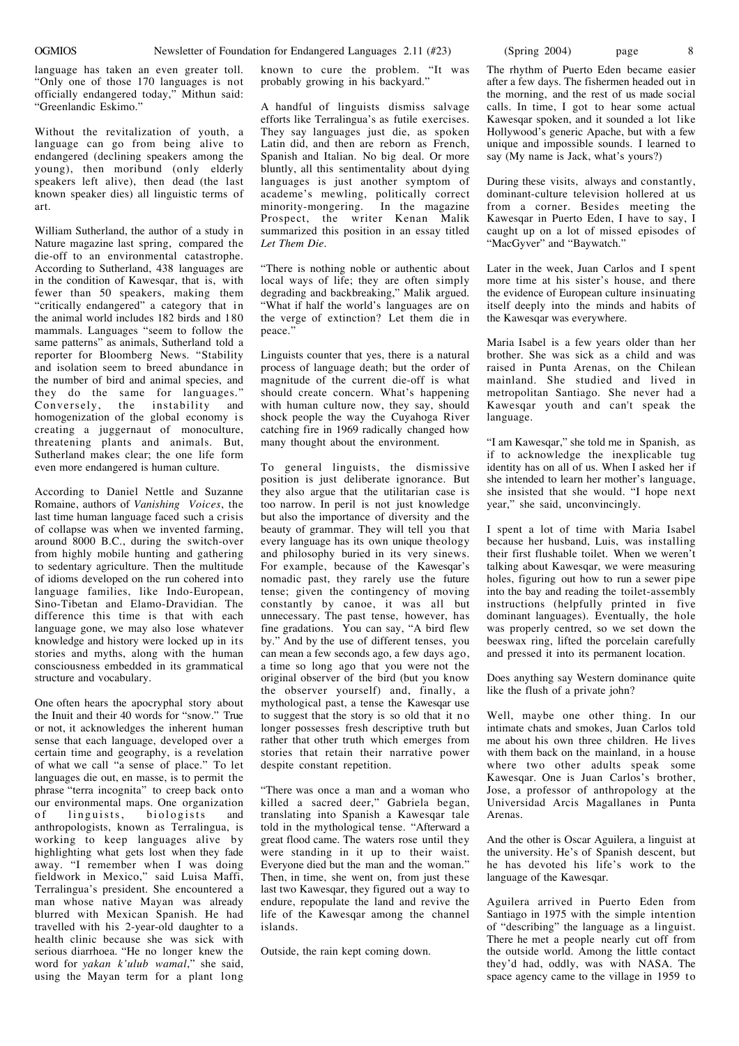language has taken an even greater toll. "Only one of those 170 languages is not officially endangered today," Mithun said: "Greenlandic Eskimo."

Without the revitalization of youth, a language can go from being alive to endangered (declining speakers among the young), then moribund (only elderly speakers left alive), then dead (the last known speaker dies) all linguistic terms of art.

William Sutherland, the author of a study in Nature magazine last spring, compared the die-off to an environmental catastrophe. According to Sutherland, 438 languages are in the condition of Kawesqar, that is, with fewer than 50 speakers, making them "critically endangered" a category that in the animal world includes 182 birds and 180 mammals. Languages "seem to follow the same patterns" as animals, Sutherland told a reporter for Bloomberg News. "Stability and isolation seem to breed abundance in the number of bird and animal species, and they do the same for languages." Conversely, the instability and homogenization of the global economy is creating a juggernaut of monoculture, threatening plants and animals. But, Sutherland makes clear; the one life form even more endangered is human culture.

According to Daniel Nettle and Suzanne Romaine, authors of *Vanishing Voices*, the last time human language faced such a crisis of collapse was when we invented farming, around 8000 B.C., during the switch-over from highly mobile hunting and gathering to sedentary agriculture. Then the multitude of idioms developed on the run cohered into language families, like Indo-European, Sino-Tibetan and Elamo-Dravidian. The difference this time is that with each language gone, we may also lose whatever knowledge and history were locked up in its stories and myths, along with the human consciousness embedded in its grammatical structure and vocabulary.

One often hears the apocryphal story about the Inuit and their 40 words for "snow." True or not, it acknowledges the inherent human sense that each language, developed over a certain time and geography, is a revelation of what we call "a sense of place." To let languages die out, en masse, is to permit the phrase "terra incognita" to creep back onto our environmental maps. One organization of linguists, biologists and anthropologists, known as Terralingua, is working to keep languages alive by highlighting what gets lost when they fade away. "I remember when I was doing fieldwork in Mexico," said Luisa Maffi, Terralingua's president. She encountered a man whose native Mayan was already blurred with Mexican Spanish. He had travelled with his 2-year-old daughter to a health clinic because she was sick with serious diarrhoea. "He no longer knew the word for *yakan k'ulub wamal*," she said, using the Mayan term for a plant long

known to cure the problem. "It was probably growing in his backyard."

A handful of linguists dismiss salvage efforts like Terralingua's as futile exercises. They say languages just die, as spoken Latin did, and then are reborn as French, Spanish and Italian. No big deal. Or more bluntly, all this sentimentality about dying languages is just another symptom of academe's mewling, politically correct minority-mongering. In the magazine Prospect, the writer Kenan Malik summarized this position in an essay titled *Let Them Die.*

"There is nothing noble or authentic about local ways of life; they are often simply degrading and backbreaking," Malik argued. "What if half the world's languages are on the verge of extinction? Let them die in peace."

Linguists counter that yes, there is a natural process of language death; but the order of magnitude of the current die-off is what should create concern. What's happening with human culture now, they say, should shock people the way the Cuyahoga River catching fire in 1969 radically changed how many thought about the environment.

To general linguists, the dismissive position is just deliberate ignorance. But they also argue that the utilitarian case is too narrow. In peril is not just knowledge but also the importance of diversity and the beauty of grammar. They will tell you that every language has its own unique theology and philosophy buried in its very sinews. For example, because of the Kawesqar's nomadic past, they rarely use the future tense; given the contingency of moving constantly by canoe, it was all but unnecessary. The past tense, however, has fine gradations. You can say, "A bird flew by." And by the use of different tenses, you can mean a few seconds ago, a few days ago, a time so long ago that you were not the original observer of the bird (but you know the observer yourself) and, finally, a mythological past, a tense the Kawesqar use to suggest that the story is so old that it no longer possesses fresh descriptive truth but rather that other truth which emerges from stories that retain their narrative power despite constant repetition.

"There was once a man and a woman who killed a sacred deer," Gabriela began, translating into Spanish a Kawesqar tale told in the mythological tense. "Afterward a great flood came. The waters rose until they were standing in it up to their waist. Everyone died but the man and the woman." Then, in time, she went on, from just these last two Kawesqar, they figured out a way to endure, repopulate the land and revive the life of the Kawesqar among the channel islands.

Outside, the rain kept coming down.

The rhythm of Puerto Eden became easier after a few days. The fishermen headed out in the morning, and the rest of us made social calls. In time, I got to hear some actual Kawesqar spoken, and it sounded a lot like Hollywood's generic Apache, but with a few unique and impossible sounds. I learned to say (My name is Jack, what's yours?)

During these visits, always and constantly, dominant-culture television hollered at us from a corner. Besides meeting the Kawesqar in Puerto Eden, I have to say, I caught up on a lot of missed episodes of "MacGyver" and "Baywatch."

Later in the week, Juan Carlos and I spent more time at his sister's house, and there the evidence of European culture insinuating itself deeply into the minds and habits of the Kawesqar was everywhere.

Maria Isabel is a few years older than her brother. She was sick as a child and was raised in Punta Arenas, on the Chilean mainland. She studied and lived in metropolitan Santiago. She never had a Kawesqar youth and can't speak the language.

"I am Kawesqar," she told me in Spanish, as if to acknowledge the inexplicable tug identity has on all of us. When  $\overrightarrow{l}$  asked her if she intended to learn her mother's language, she insisted that she would. "I hope next year," she said, unconvincingly.

I spent a lot of time with Maria Isabel because her husband, Luis, was installing their first flushable toilet. When we weren't talking about Kawesqar, we were measuring holes, figuring out how to run a sewer pipe into the bay and reading the toilet-assembly instructions (helpfully printed in five dominant languages). Eventually, the hole was properly centred, so we set down the beeswax ring, lifted the porcelain carefully and pressed it into its permanent location.

Does anything say Western dominance quite like the flush of a private john?

Well, maybe one other thing. In our intimate chats and smokes, Juan Carlos told me about his own three children. He lives with them back on the mainland, in a house where two other adults speak some Kawesqar. One is Juan Carlos's brother, Jose, a professor of anthropology at the Universidad Arcis Magallanes in Punta Arenas.

And the other is Oscar Aguilera, a linguist at the university. He's of Spanish descent, but he has devoted his life's work to the language of the Kawesqar.

Aguilera arrived in Puerto Eden from Santiago in 1975 with the simple intention of "describing" the language as a linguist. There he met a people nearly cut off from the outside world. Among the little contact they'd had, oddly, was with NASA. The space agency came to the village in 1959 to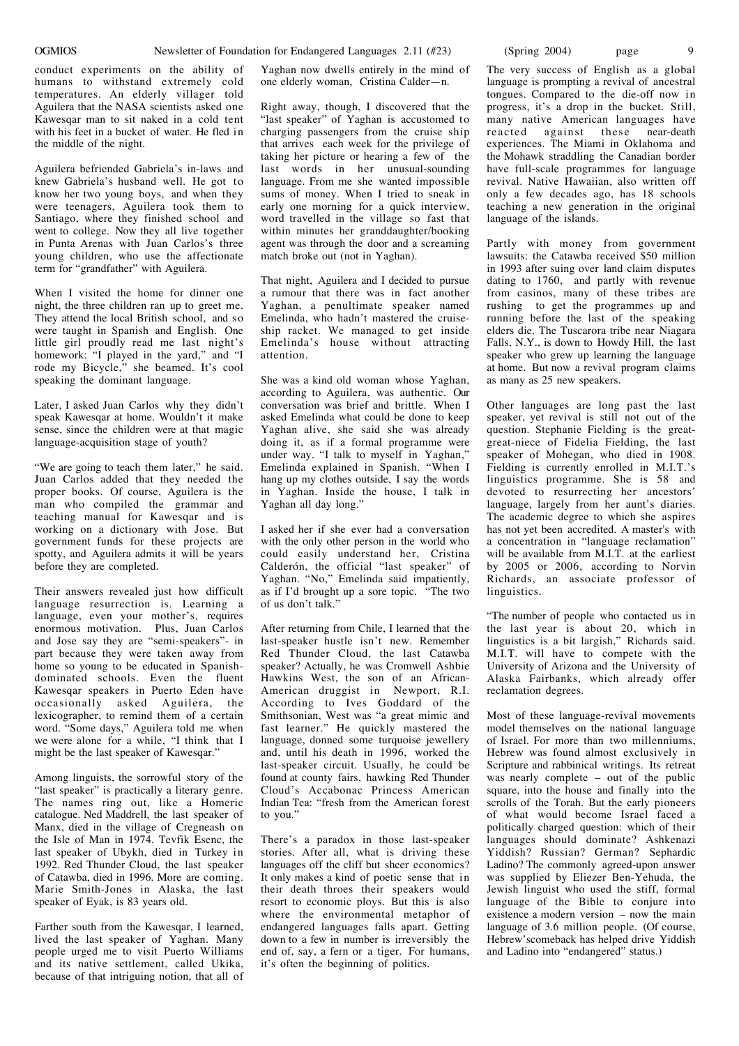conduct experiments on the ability of humans to withstand extremely cold temperatures. An elderly villager told Aguilera that the NASA scientists asked one Kawesqar man to sit naked in a cold tent with his feet in a bucket of water. He fled in the middle of the night.

Aguilera befriended Gabriela's in-laws and knew Gabriela's husband well. He got to know her two young boys, and when they were teenagers, Aguilera took them to Santiago, where they finished school and went to college. Now they all live together in Punta Arenas with Juan Carlos's three young children, who use the affectionate term for "grandfather" with Aguilera.

When I visited the home for dinner one night, the three children ran up to greet me. They attend the local British school, and so were taught in Spanish and English. One little girl proudly read me last night's homework: "I played in the yard," and "I rode my Bicycle," she beamed. It's cool speaking the dominant language.

Later, I asked Juan Carlos why they didn't speak Kawesqar at home. Wouldn't it make sense, since the children were at that magic language-acquisition stage of youth?

"We are going to teach them later," he said. Juan Carlos added that they needed the proper books. Of course, Aguilera is the man who compiled the grammar and teaching manual for Kawesqar and is working on a dictionary with Jose. But government funds for these projects are spotty, and Aguilera admits it will be years before they are completed.

Their answers revealed just how difficult language resurrection is. Learning a language, even your mother's, requires enormous motivation. Plus, Juan Carlos and Jose say they are "semi-speakers"- in part because they were taken away from home so young to be educated in Spanishdominated schools. Even the fluent Kawesqar speakers in Puerto Eden have occasionally asked Aguilera, the lexicographer, to remind them of a certain word. "Some days," Aguilera told me when we were alone for a while, "I think that I might be the last speaker of Kawesqar."

Among linguists, the sorrowful story of the "last speaker" is practically a literary genre. The names ring out, like a Homeric catalogue. Ned Maddrell, the last speaker of Manx, died in the village of Cregneash on the Isle of Man in 1974. Tevfik Esenc, the last speaker of Ubykh, died in Turkey in 1992. Red Thunder Cloud, the last speaker of Catawba, died in 1996. More are coming. Marie Smith-Jones in Alaska, the last speaker of Eyak, is 83 years old.

Farther south from the Kawesqar, I learned, lived the last speaker of Yaghan. Many people urged me to visit Puerto Williams and its native settlement, called Ukika, because of that intriguing notion, that all of

Yaghan now dwells entirely in the mind of one elderly woman, Cristina Calder—n.

Right away, though, I discovered that the "last speaker" of Yaghan is accustomed to charging passengers from the cruise ship that arrives each week for the privilege of taking her picture or hearing a few of the last words in her unusual-sounding language. From me she wanted impossible sums of money. When I tried to sneak in early one morning for a quick interview. word travelled in the village so fast that within minutes her granddaughter/booking agent was through the door and a screaming match broke out (not in Yaghan).

That night, Aguilera and I decided to pursue a rumour that there was in fact another Yaghan, a penultimate speaker named Emelinda, who hadn't mastered the cruiseship racket. We managed to get inside Emelinda's house without attracting attention.

She was a kind old woman whose Yaghan, according to Aguilera, was authentic. Our conversation was brief and brittle. When I asked Emelinda what could be done to keep Yaghan alive, she said she was already doing it, as if a formal programme were under way. "I talk to myself in Yaghan,' Emelinda explained in Spanish. "When I hang up my clothes outside, I say the words in Yaghan. Inside the house, I talk in Yaghan all day long.'

I asked her if she ever had a conversation with the only other person in the world who could easily understand her, Cristina Calderón, the official "last speaker" of Yaghan. "No," Emelinda said impatiently, as if I'd brought up a sore topic. "The two of us don't talk."

After returning from Chile, I learned that the last-speaker hustle isn't new. Remember Red Thunder Cloud, the last Catawba speaker? Actually, he was Cromwell Ashbie Hawkins West, the son of an African-American druggist in Newport, R.I. According to Ives Goddard of the Smithsonian, West was "a great mimic and fast learner." He quickly mastered the language, donned some turquoise jewellery and, until his death in 1996, worked the last-speaker circuit. Usually, he could be found at county fairs, hawking Red Thunder Cloud's Accabonac Princess American Indian Tea: "fresh from the American forest to you."

There's a paradox in those last-speaker stories. After all, what is driving these languages off the cliff but sheer economics? It only makes a kind of poetic sense that in their death throes their speakers would resort to economic ploys. But this is also where the environmental metaphor of endangered languages falls apart. Getting down to a few in number is irreversibly the end of, say, a fern or a tiger. For humans, it's often the beginning of politics.

The very success of English as a global language is prompting a revival of ancestral tongues. Compared to the die-off now in progress, it's a drop in the bucket. Still, many native American languages have reacted against these near-death experiences. The Miami in Oklahoma and the Mohawk straddling the Canadian border have full-scale programmes for language revival. Native Hawaiian, also written off only a few decades ago, has 18 schools teaching a new generation in the original language of the islands.

Partly with money from government lawsuits: the Catawba received \$50 million in 1993 after suing over land claim disputes dating to 1760, and partly with revenue from casinos, many of these tribes are rushing to get the programmes up and running before the last of the speaking elders die. The Tuscarora tribe near Niagara Falls, N.Y., is down to Howdy Hill, the last speaker who grew up learning the language at home. But now a revival program claims as many as 25 new speakers.

Other languages are long past the last speaker, yet revival is still not out of the question. Stephanie Fielding is the greatgreat-niece of Fidelia Fielding, the last speaker of Mohegan, who died in 1908. Fielding is currently enrolled in M.I.T.'s linguistics programme. She is 58 and devoted to resurrecting her ancestors' language, largely from her aunt's diaries. The academic degree to which she aspires has not yet been accredited. A master's with a concentration in "language reclamation" will be available from M.I.T. at the earliest by 2005 or 2006, according to Norvin Richards, an associate professor of linguistics.

"The number of people who contacted us in the last year is about 20, which in linguistics is a bit largish," Richards said. M.I.T. will have to compete with the University of Arizona and the University of Alaska Fairbanks, which already offer reclamation degrees.

Most of these language-revival movements model themselves on the national language of Israel. For more than two millenniums, Hebrew was found almost exclusively in Scripture and rabbinical writings. Its retreat was nearly complete – out of the public square, into the house and finally into the scrolls of the Torah. But the early pioneers of what would become Israel faced a politically charged question: which of their languages should dominate? Ashkenazi Yiddish? Russian? German? Sephardic Ladino? The commonly agreed-upon answer was supplied by Eliezer Ben-Yehuda, the Jewish linguist who used the stiff, formal language of the Bible to conjure into existence a modern version – now the main language of 3.6 million people. (Of course, Hebrew'scomeback has helped drive Yiddish and Ladino into "endangered" status.)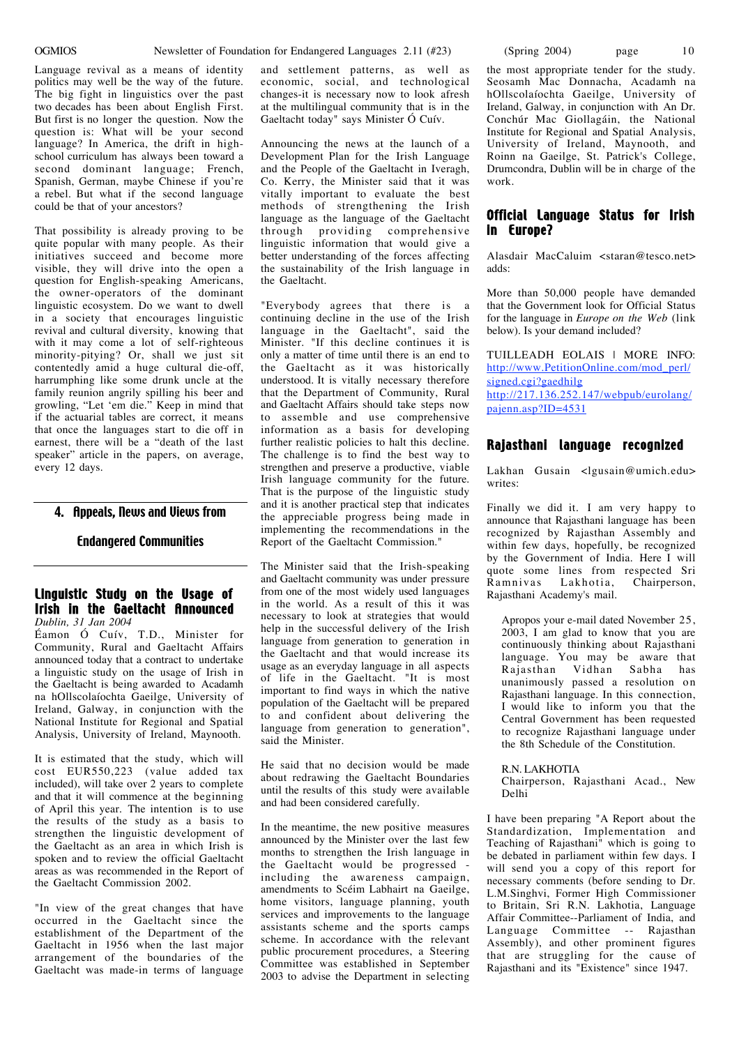Language revival as a means of identity politics may well be the way of the future. The big fight in linguistics over the past two decades has been about English First. But first is no longer the question. Now the question is: What will be your second language? In America, the drift in highschool curriculum has always been toward a second dominant language; French, Spanish, German, maybe Chinese if you're a rebel. But what if the second language could be that of your ancestors?

That possibility is already proving to be quite popular with many people. As their initiatives succeed and become more visible, they will drive into the open a question for English-speaking Americans, the owner-operators of the dominant linguistic ecosystem. Do we want to dwell in a society that encourages linguistic revival and cultural diversity, knowing that with it may come a lot of self-righteous minority-pitying? Or, shall we just sit contentedly amid a huge cultural die-off, harrumphing like some drunk uncle at the family reunion angrily spilling his beer and growling, "Let 'em die." Keep in mind that if the actuarial tables are correct, it means that once the languages start to die off in earnest, there will be a "death of the last speaker" article in the papers, on average, every 12 days.

### 4. Appeals, News and Views from

Endangered Communities

### Linguistic Study on the Usage of Irish in the Gaeltacht Announced *Dublin, 31 Jan 2004*

Éamon Ó Cuív, T.D., Minister for Community, Rural and Gaeltacht Affairs announced today that a contract to undertake a linguistic study on the usage of Irish in the Gaeltacht is being awarded to Acadamh na hOllscolaíochta Gaeilge, University of Ireland, Galway, in conjunction with the National Institute for Regional and Spatial Analysis, University of Ireland, Maynooth.

It is estimated that the study, which will cost EUR550,223 (value added tax included), will take over 2 years to complete and that it will commence at the beginning of April this year. The intention is to use the results of the study as a basis to strengthen the linguistic development of the Gaeltacht as an area in which Irish is spoken and to review the official Gaeltacht areas as was recommended in the Report of the Gaeltacht Commission 2002.

"In view of the great changes that have occurred in the Gaeltacht since the establishment of the Department of the Gaeltacht in 1956 when the last major arrangement of the boundaries of the Gaeltacht was made-in terms of language

and settlement patterns, as well as economic, social, and technological changes-it is necessary now to look afresh at the multilingual community that is in the Gaeltacht today" says Minister Ó Cuív.

Announcing the news at the launch of a Development Plan for the Irish Language and the People of the Gaeltacht in Iveragh, Co. Kerry, the Minister said that it was vitally important to evaluate the best methods of strengthening the Irish language as the language of the Gaeltacht through providing comprehensive linguistic information that would give a better understanding of the forces affecting the sustainability of the Irish language in the Gaeltacht.

"Everybody agrees that there is a continuing decline in the use of the Irish language in the Gaeltacht", said the Minister. "If this decline continues it is only a matter of time until there is an end to the Gaeltacht as it was historically understood. It is vitally necessary therefore that the Department of Community, Rural and Gaeltacht Affairs should take steps now to assemble and use comprehensive information as a basis for developing further realistic policies to halt this decline. The challenge is to find the best way to strengthen and preserve a productive, viable Irish language community for the future. That is the purpose of the linguistic study and it is another practical step that indicates the appreciable progress being made in implementing the recommendations in the Report of the Gaeltacht Commission."

The Minister said that the Irish-speaking and Gaeltacht community was under pressure from one of the most widely used languages in the world. As a result of this it was necessary to look at strategies that would help in the successful delivery of the Irish language from generation to generation in the Gaeltacht and that would increase its usage as an everyday language in all aspects of life in the Gaeltacht. "It is most important to find ways in which the native population of the Gaeltacht will be prepared to and confident about delivering the language from generation to generation", said the Minister.

He said that no decision would be made about redrawing the Gaeltacht Boundaries until the results of this study were available and had been considered carefully.

In the meantime, the new positive measures announced by the Minister over the last few months to strengthen the Irish language in the Gaeltacht would be progressed including the awareness campaign, amendments to Scéim Labhairt na Gaeilge, home visitors, language planning, youth services and improvements to the language assistants scheme and the sports camps scheme. In accordance with the relevant public procurement procedures, a Steering Committee was established in September 2003 to advise the Department in selecting

the most appropriate tender for the study. Seosamh Mac Donnacha, Acadamh na hOllscolaíochta Gaeilge, University of Ireland, Galway, in conjunction with An Dr. Conchúr Mac Giollagáin, the National Institute for Regional and Spatial Analysis, University of Ireland, Maynooth, and Roinn na Gaeilge, St. Patrick's College, Drumcondra, Dublin will be in charge of the work.

## Official Language Status for Irish in Europe?

Alasdair MacCaluim <staran@tesco.net> adds:

More than 50,000 people have demanded that the Government look for Official Status for the language in *Europe on the Web* (link below). Is your demand included?

TUILLEADH EOLAIS | MORE INFO: http://www.PetitionOnline.com/mod\_perl/ signed.cgi?gaedhilg http://217.136.252.147/webpub/eurolang/ pajenn.asp?ID=4531

## Rajasthani language recognized

Lakhan Gusain <lgusain@umich.edu> writes:

Finally we did it. I am very happy to announce that Rajasthani language has been recognized by Rajasthan Assembly and within few days, hopefully, be recognized by the Government of India. Here I will quote some lines from respected Sri Ramnivas Lakhotia, Chairperson, Rajasthani Academy's mail.

Apropos your e-mail dated November 25, 2003, I am glad to know that you are continuously thinking about Rajasthani language. You may be aware that Rajasthan Vidhan Sabha has unanimously passed a resolution on Rajasthani language. In this connection, I would like to inform you that the Central Government has been requested to recognize Rajasthani language under the 8th Schedule of the Constitution.

R.N. LAKHOTIA

Chairperson, Rajasthani Acad., New Delhi

I have been preparing "A Report about the Standardization, Implementation and Teaching of Rajasthani" which is going to be debated in parliament within few days. I will send you a copy of this report for necessary comments (before sending to Dr. L.M.Singhvi, Former High Commissioner to Britain, Sri R.N. Lakhotia, Language Affair Committee--Parliament of India, and Language Committee -- Rajasthan Assembly), and other prominent figures that are struggling for the cause of Rajasthani and its "Existence" since 1947.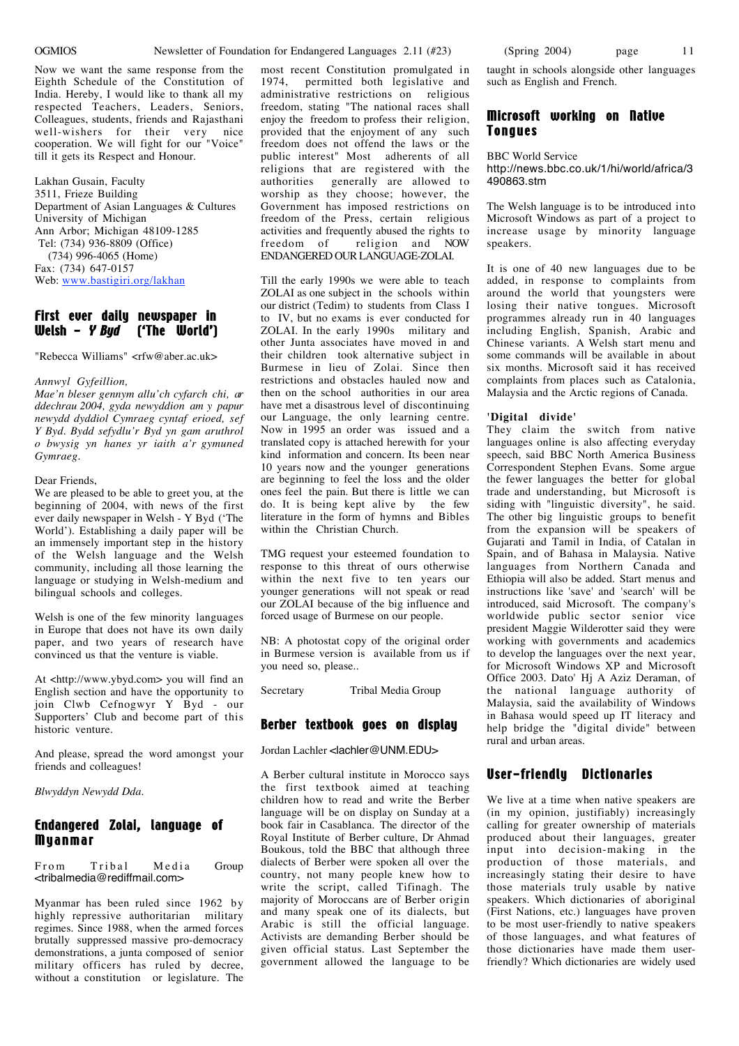Now we want the same response from the Eighth Schedule of the Constitution of India. Hereby, I would like to thank all my respected Teachers, Leaders, Seniors, Colleagues, students, friends and Rajasthani well-wishers for their very nice cooperation. We will fight for our "Voice" till it gets its Respect and Honour.

Lakhan Gusain, Faculty 3511, Frieze Building Department of Asian Languages & Cultures University of Michigan Ann Arbor; Michigan 48109-1285 Tel: (734) 936-8809 (Office) (734) 996-4065 (Home) Fax: (734) 647-0157 Web: www.bastigiri.org/lakhan

## First ever daily newspaper in Welsh - Y Byd ('The World')

"Rebecca Williams" <rfw@aber.ac.uk>

### *Annwyl Gyfeillion,*

*Mae'n bleser gennym allu'ch cyfarch chi, ar ddechrau 2004, gyda newyddion am y papur newydd dyddiol Cymraeg cyntaf erioed, sef Y Byd. Bydd sefydlu'r Byd yn gam aruthrol o bwysig yn hanes yr iaith a'r gymuned Gymraeg.*

Dear Friends,

We are pleased to be able to greet you, at the beginning of 2004, with news of the first ever daily newspaper in Welsh - Y Byd ('The World'). Establishing a daily paper will be an immensely important step in the history of the Welsh language and the Welsh community, including all those learning the language or studying in Welsh-medium and bilingual schools and colleges.

Welsh is one of the few minority languages in Europe that does not have its own daily paper, and two years of research have convinced us that the venture is viable.

At <http://www.ybyd.com> you will find an English section and have the opportunity to join Clwb Cefnogwyr Y Byd - our Supporters' Club and become part of this historic venture.

And please, spread the word amongst your friends and colleagues!

*Blwyddyn Newydd Dda.*

## Endangered Zolai, language of Myanmar

From Tribal Media Group <tribalmedia@rediffmail.com>

Myanmar has been ruled since 1962 by highly repressive authoritarian military regimes. Since 1988, when the armed forces brutally suppressed massive pro-democracy demonstrations, a junta composed of senior military officers has ruled by decree, without a constitution or legislature. The

most recent Constitution promulgated in 1974, permitted both legislative and administrative restrictions on religious freedom, stating "The national races shall enjoy the freedom to profess their religion, provided that the enjoyment of any such freedom does not offend the laws or the public interest" Most adherents of all religions that are registered with the authorities generally are allowed to worship as they choose; however, the Government has imposed restrictions on freedom of the Press, certain religious activities and frequently abused the rights to<br>freedom of religion and NOW religion and NOW ENDANGERED OUR LANGUAGE-ZOLAI.

Till the early 1990s we were able to teach ZOLAI as one subject in the schools within our district (Tedim) to students from Class I to IV, but no exams is ever conducted for ZOLAI. In the early 1990s military and other Junta associates have moved in and their children took alternative subject in Burmese in lieu of Zolai. Since then restrictions and obstacles hauled now and then on the school authorities in our area have met a disastrous level of discontinuing our Language, the only learning centre. Now in 1995 an order was issued and a translated copy is attached herewith for your kind information and concern. Its been near 10 years now and the younger generations are beginning to feel the loss and the older ones feel the pain. But there is little we can do. It is being kept alive by the few literature in the form of hymns and Bibles within the Christian Church.

TMG request your esteemed foundation to response to this threat of ours otherwise within the next five to ten years our younger generations will not speak or read our ZOLAI because of the big influence and forced usage of Burmese on our people.

NB: A photostat copy of the original order in Burmese version is available from us if you need so, please..

Secretary Tribal Media Group

## Berber textbook goes on display

Jordan Lachler <lachler@UNM.EDU>

A Berber cultural institute in Morocco says the first textbook aimed at teaching children how to read and write the Berber language will be on display on Sunday at a book fair in Casablanca. The director of the Royal Institute of Berber culture, Dr Ahmad Boukous, told the BBC that although three dialects of Berber were spoken all over the country, not many people knew how to write the script, called Tifinagh. The majority of Moroccans are of Berber origin and many speak one of its dialects, but Arabic is still the official language. Activists are demanding Berber should be given official status. Last September the government allowed the language to be

taught in schools alongside other languages such as English and French.

## Microsoft working on Native **Tongues**

BBC World Service

http://news.bbc.co.uk/1/hi/world/africa/3 490863.stm

The Welsh language is to be introduced into Microsoft Windows as part of a project to increase usage by minority language speakers.

It is one of 40 new languages due to be added, in response to complaints from around the world that youngsters were losing their native tongues. Microsoft programmes already run in 40 languages including English, Spanish, Arabic and Chinese variants. A Welsh start menu and some commands will be available in about six months. Microsoft said it has received complaints from places such as Catalonia, Malaysia and the Arctic regions of Canada.

### **'Digital divide'**

They claim the switch from native languages online is also affecting everyday speech, said BBC North America Business Correspondent Stephen Evans. Some argue the fewer languages the better for global trade and understanding, but Microsoft is siding with "linguistic diversity", he said. The other big linguistic groups to benefit from the expansion will be speakers of Gujarati and Tamil in India, of Catalan in Spain, and of Bahasa in Malaysia. Native languages from Northern Canada and Ethiopia will also be added. Start menus and instructions like 'save' and 'search' will be introduced, said Microsoft. The company's worldwide public sector senior vice president Maggie Wilderotter said they were working with governments and academics to develop the languages over the next year, for Microsoft Windows XP and Microsoft Office 2003. Dato' Hj A Aziz Deraman, of the national language authority of Malaysia, said the availability of Windows in Bahasa would speed up IT literacy and help bridge the "digital divide" between rural and urban areas.

## User-friendly Dictionaries

We live at a time when native speakers are (in my opinion, justifiably) increasingly calling for greater ownership of materials produced about their languages, greater input into decision-making in the production of those materials, and increasingly stating their desire to have those materials truly usable by native speakers. Which dictionaries of aboriginal (First Nations, etc.) languages have proven to be most user-friendly to native speakers of those languages, and what features of those dictionaries have made them userfriendly? Which dictionaries are widely used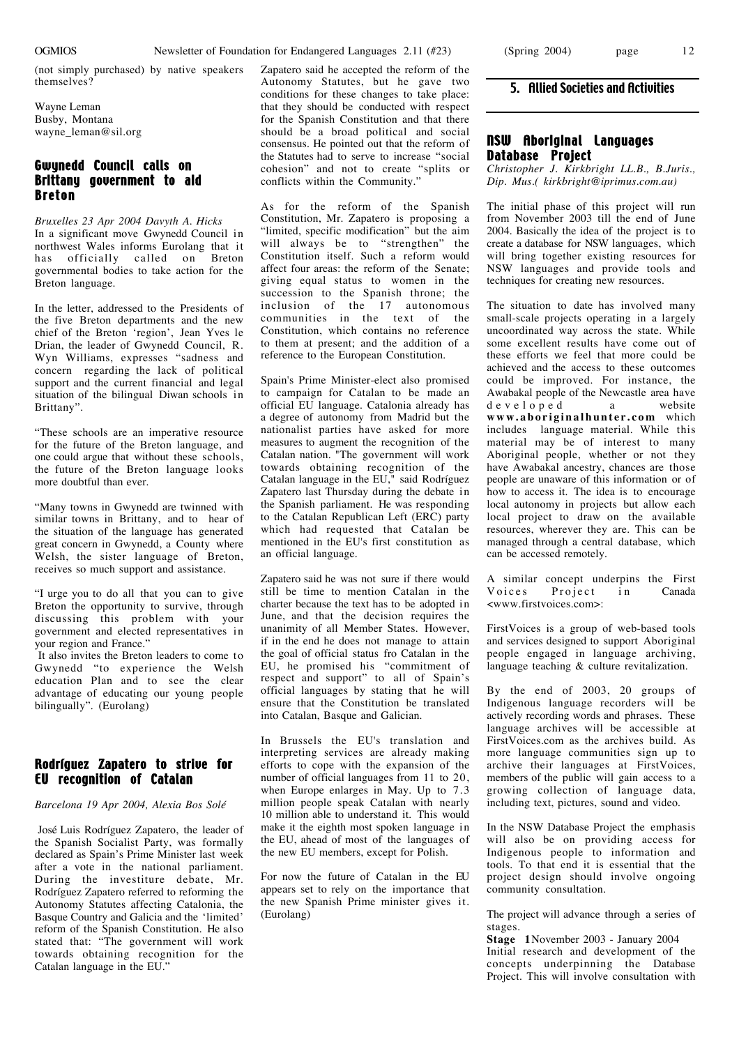(not simply purchased) by native speakers themselves?

Wayne Leman Busby, Montana wayne\_leman@sil.org

## Gwynedd Council calls on Brittany government to aid Breton

*Bruxelles 23 Apr 2004 Davyth A. Hicks* In a significant move Gwynedd Council in northwest Wales informs Eurolang that it<br>has officially called on Breton has officially called on governmental bodies to take action for the Breton language.

In the letter, addressed to the Presidents of the five Breton departments and the new chief of the Breton 'region', Jean Yves le Drian, the leader of Gwynedd Council, R. Wyn Williams, expresses "sadness and concern regarding the lack of political support and the current financial and legal situation of the bilingual Diwan schools in Brittany".

"These schools are an imperative resource for the future of the Breton language, and one could argue that without these schools, the future of the Breton language looks more doubtful than ever.

"Many towns in Gwynedd are twinned with similar towns in Brittany, and to hear of the situation of the language has generated great concern in Gwynedd, a County where Welsh, the sister language of Breton, receives so much support and assistance.

"I urge you to do all that you can to give Breton the opportunity to survive, through discussing this problem with your government and elected representatives in your region and France."

 It also invites the Breton leaders to come to Gwynedd "to experience the Welsh education Plan and to see the clear advantage of educating our young people bilingually". (Eurolang)

## Rodríguez Zapatero to strive for EU recognition of Catalan

### *Barcelona 19 Apr 2004, Alexia Bos Solé*

 José Luis Rodríguez Zapatero, the leader of the Spanish Socialist Party, was formally declared as Spain's Prime Minister last week after a vote in the national parliament. During the investiture debate, Mr. Rodríguez Zapatero referred to reforming the Autonomy Statutes affecting Catalonia, the Basque Country and Galicia and the 'limited' reform of the Spanish Constitution. He also stated that: "The government will work towards obtaining recognition for the Catalan language in the EU."

Zapatero said he accepted the reform of the Autonomy Statutes, but he gave two conditions for these changes to take place: that they should be conducted with respect for the Spanish Constitution and that there should be a broad political and social consensus. He pointed out that the reform of the Statutes had to serve to increase "social cohesion" and not to create "splits or conflicts within the Community."

As for the reform of the Spanish Constitution, Mr. Zapatero is proposing a "limited, specific modification" but the aim will always be to "strengthen" the Constitution itself. Such a reform would affect four areas: the reform of the Senate; giving equal status to women in the succession to the Spanish throne; the inclusion of the 17 autonomous communities in the text of the Constitution, which contains no reference to them at present; and the addition of a reference to the European Constitution.

Spain's Prime Minister-elect also promised to campaign for Catalan to be made an official EU language. Catalonia already has a degree of autonomy from Madrid but the nationalist parties have asked for more measures to augment the recognition of the Catalan nation. "The government will work towards obtaining recognition of the Catalan language in the EU," said Rodríguez Zapatero last Thursday during the debate in the Spanish parliament. He was responding to the Catalan Republican Left (ERC) party which had requested that Catalan be mentioned in the EU's first constitution as an official language.

Zapatero said he was not sure if there would still be time to mention Catalan in the charter because the text has to be adopted in June, and that the decision requires the unanimity of all Member States. However, if in the end he does not manage to attain the goal of official status fro Catalan in the EU, he promised his "commitment of respect and support" to all of Spain's official languages by stating that he will ensure that the Constitution be translated into Catalan, Basque and Galician.

In Brussels the EU's translation and interpreting services are already making efforts to cope with the expansion of the number of official languages from 11 to 20, when Europe enlarges in May. Up to 7.3 million people speak Catalan with nearly 10 million able to understand it. This would make it the eighth most spoken language in the EU, ahead of most of the languages of the new EU members, except for Polish.

For now the future of Catalan in the EU appears set to rely on the importance that the new Spanish Prime minister gives it. (Eurolang)

## 5. Allied Societies and Activities

## NSW Aboriginal Languages Database Project

*Christopher J. Kirkbright LL.B., B.Juris., Dip. Mus.( kirkbright@iprimus.com.au)*

The initial phase of this project will run from November 2003 till the end of June 2004. Basically the idea of the project is to create a database for NSW languages, which will bring together existing resources for NSW languages and provide tools and techniques for creating new resources.

The situation to date has involved many small-scale projects operating in a largely uncoordinated way across the state. While some excellent results have come out of these efforts we feel that more could be achieved and the access to these outcomes could be improved. For instance, the Awabakal people of the Newcastle area have<br>d e v e l o p e d  $\qquad$  a website  $d$ eveloped **www.aboriginalhunter.com** which includes language material. While this material may be of interest to many Aboriginal people, whether or not they have Awabakal ancestry, chances are those people are unaware of this information or of how to access it. The idea is to encourage local autonomy in projects but allow each local project to draw on the available resources, wherever they are. This can be managed through a central database, which can be accessed remotely.

A similar concept underpins the First<br>Voices Project in Canada Project in Canada <www.firstvoices.com>:

FirstVoices is a group of web-based tools and services designed to support Aboriginal people engaged in language archiving, language teaching & culture revitalization.

By the end of 2003, 20 groups of Indigenous language recorders will be actively recording words and phrases. These language archives will be accessible at FirstVoices.com as the archives build. As more language communities sign up to archive their languages at FirstVoices, members of the public will gain access to a growing collection of language data, including text, pictures, sound and video.

In the NSW Database Project the emphasis will also be on providing access for Indigenous people to information and tools. To that end it is essential that the project design should involve ongoing community consultation.

The project will advance through a series of stages.

**Stage 1**November 2003 - January 2004 Initial research and development of the concepts underpinning the Database Project. This will involve consultation with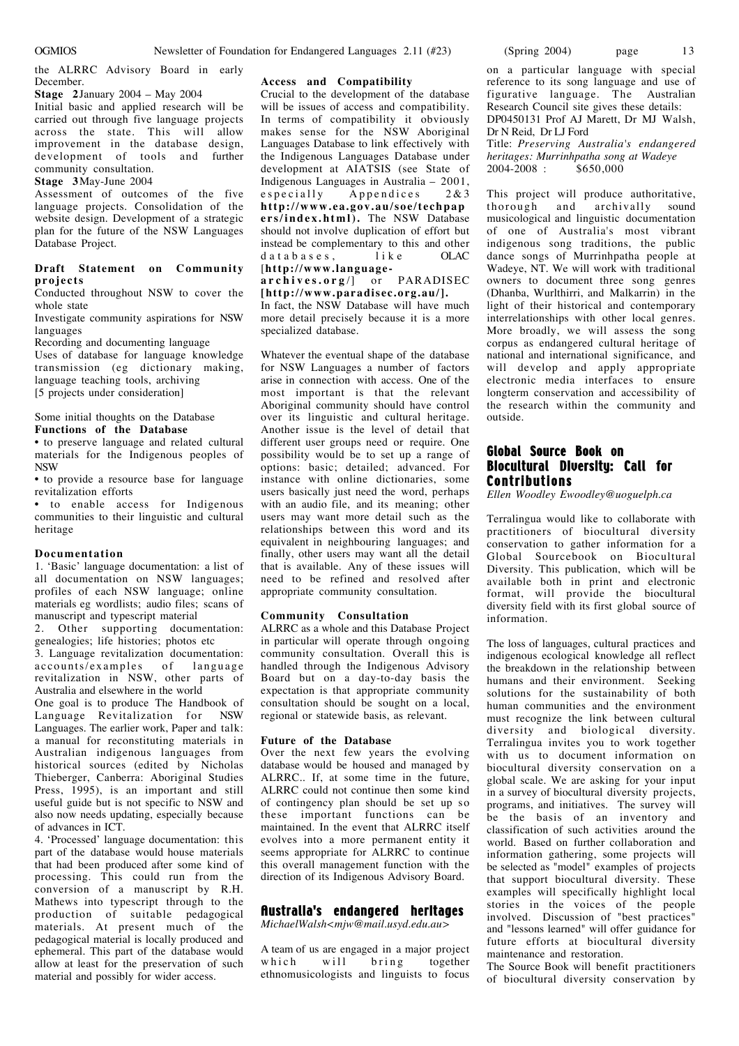the ALRRC Advisory Board in early December.

**Stage 2**January 2004 – May 2004

Initial basic and applied research will be carried out through five language projects across the state. This will allow improvement in the database design, development of tools and further community consultation.

### **Stage 3**May-June 2004

Assessment of outcomes of the five language projects. Consolidation of the website design. Development of a strategic plan for the future of the NSW Languages Database Project.

### **Draft Statement on Community projects**

Conducted throughout NSW to cover the whole state

Investigate community aspirations for NSW languages

Recording and documenting language

Uses of database for language knowledge transmission (eg dictionary making, language teaching tools, archiving [5 projects under consideration]

### Some initial thoughts on the Database **Functions of the Database**

• to preserve language and related cultural materials for the Indigenous peoples of NSW

• to provide a resource base for language revitalization efforts

• to enable access for Indigenous communities to their linguistic and cultural heritage

### **Documentation**

1. 'Basic' language documentation: a list of all documentation on NSW languages; profiles of each NSW language; online materials eg wordlists; audio files; scans of manuscript and typescript material

2. Other supporting documentation: genealogies; life histories; photos etc

3. Language revitalization documentation: accounts/examples of language revitalization in NSW, other parts of Australia and elsewhere in the world

One goal is to produce The Handbook of Language Revitalization for NSW Languages. The earlier work, Paper and talk: a manual for reconstituting materials in Australian indigenous languages from historical sources (edited by Nicholas Thieberger, Canberra: Aboriginal Studies Press, 1995), is an important and still useful guide but is not specific to NSW and also now needs updating, especially because of advances in ICT.

4. 'Processed' language documentation: this part of the database would house materials that had been produced after some kind of processing. This could run from the conversion of a manuscript by R.H. Mathews into typescript through to the production of suitable pedagogical materials. At present much of the pedagogical material is locally produced and ephemeral. This part of the database would allow at least for the preservation of such material and possibly for wider access.

## **Access and Compatibility**

Crucial to the development of the database will be issues of access and compatibility. In terms of compatibility it obviously makes sense for the NSW Aboriginal Languages Database to link effectively with the Indigenous Languages Database under development at AIATSIS (see State of Indigenous Languages in Australia – 2001, especially Appendices 2&3 **http://www.ea.gov.au/soe/techpap ers/index.html).** The NSW Database should not involve duplication of effort but instead be complementary to this and other<br>databases  $\overrightarrow{AB}$  $databases$ . [**http://www.language**archives.org/1 or PARADISEC

**[http://www.paradisec.org.au/].**

In fact, the NSW Database will have much more detail precisely because it is a more specialized database.

Whatever the eventual shape of the database for NSW Languages a number of factors arise in connection with access. One of the most important is that the relevant Aboriginal community should have control over its linguistic and cultural heritage. Another issue is the level of detail that different user groups need or require. One possibility would be to set up a range of options: basic; detailed; advanced. For instance with online dictionaries, some users basically just need the word, perhaps with an audio file, and its meaning; other users may want more detail such as the relationships between this word and its equivalent in neighbouring languages; and finally, other users may want all the detail that is available. Any of these issues will need to be refined and resolved after appropriate community consultation.

### **Community Consultation**

ALRRC as a whole and this Database Project in particular will operate through ongoing community consultation. Overall this is handled through the Indigenous Advisory Board but on a day-to-day basis the expectation is that appropriate community consultation should be sought on a local, regional or statewide basis, as relevant.

### **Future of the Database**

Over the next few years the evolving database would be housed and managed by ALRRC.. If, at some time in the future, ALRRC could not continue then some kind of contingency plan should be set up so these important functions can be maintained. In the event that ALRRC itself evolves into a more permanent entity it seems appropriate for ALRRC to continue this overall management function with the direction of its Indigenous Advisory Board.

## Australia's endangered heritages

*MichaelWalsh<mjw@mail.usyd.edu.au>*

A team of us are engaged in a major project which will bring together ethnomusicologists and linguists to focus on a particular language with special reference to its song language and use of figurative language. The Australian Research Council site gives these details: DP0450131 Prof AJ Marett, Dr MJ Walsh, Dr N Reid, Dr LJ Ford

Title: *Preserving Australia's endangered heritages: Murrinhpatha song at Wadeye*  $2004 - 2008$  :

This project will produce authoritative, thorough and archivally sound musicological and linguistic documentation of one of Australia's most vibrant indigenous song traditions, the public dance songs of Murrinhpatha people at Wadeye, NT. We will work with traditional owners to document three song genres (Dhanba, Wurlthirri, and Malkarrin) in the light of their historical and contemporary interrelationships with other local genres. More broadly, we will assess the song corpus as endangered cultural heritage of national and international significance, and will develop and apply appropriate electronic media interfaces to ensure longterm conservation and accessibility of the research within the community and outside.

## Global Source Book on Biocultural Diversity: Call for Contributions

*Ellen Woodley Ewoodley@uoguelph.ca*

Terralingua would like to collaborate with practitioners of biocultural diversity conservation to gather information for a Global Sourcebook on Biocultural Diversity. This publication, which will be available both in print and electronic format, will provide the biocultural diversity field with its first global source of information.

The loss of languages, cultural practices and indigenous ecological knowledge all reflect the breakdown in the relationship between humans and their environment. Seeking solutions for the sustainability of both human communities and the environment must recognize the link between cultural diversity and biological diversity. Terralingua invites you to work together with us to document information on biocultural diversity conservation on a global scale. We are asking for your input in a survey of biocultural diversity projects, programs, and initiatives. The survey will be the basis of an inventory and classification of such activities around the world. Based on further collaboration and information gathering, some projects will be selected as "model" examples of projects that support biocultural diversity. These examples will specifically highlight local stories in the voices of the people involved. Discussion of "best practices" and "lessons learned" will offer guidance for future efforts at biocultural diversity maintenance and restoration.

The Source Book will benefit practitioners of biocultural diversity conservation by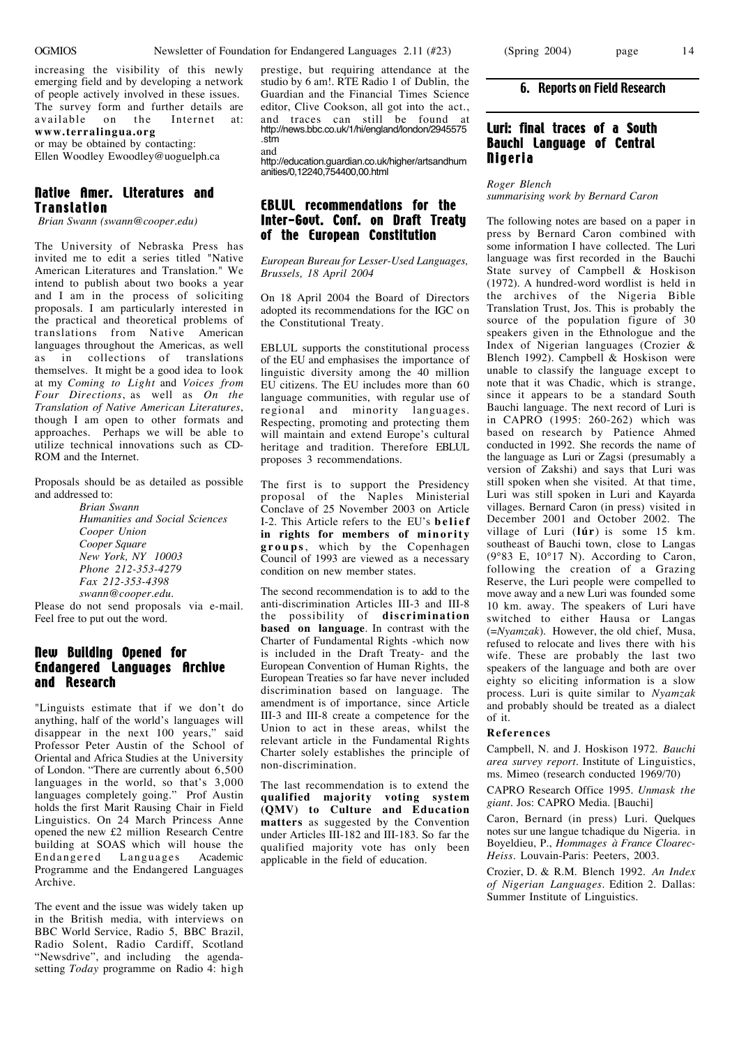increasing the visibility of this newly emerging field and by developing a network of people actively involved in these issues. The survey form and further details are<br>available on the Internet at: Internet at: **www.terralingua.org**

or may be obtained by contacting: Ellen Woodley Ewoodley@uoguelph.ca

## Native Amer. Literatures and Translation

 *Brian Swann (swann@cooper.edu)*

The University of Nebraska Press has invited me to edit a series titled "Native American Literatures and Translation." We intend to publish about two books a year and I am in the process of soliciting proposals. I am particularly interested in the practical and theoretical problems of translations from Native American languages throughout the Americas, as well as in collections of translations themselves. It might be a good idea to look at my *Coming to Light* and *Voices from Four Directions*, as well as *On the Translation of Native American Literatures*, though I am open to other formats and approaches. Perhaps we will be able to utilize technical innovations such as CD-ROM and the Internet.

Proposals should be as detailed as possible and addressed to:

> *Brian Swann Humanities and Social Sciences Cooper Union Cooper Square New York, NY 10003 Phone 212-353-4279 Fax 212-353-4398 swann@cooper.edu.*

Please do not send proposals via e-mail. Feel free to put out the word.

## New Building Opened for Endangered Languages Archive and Research

"Linguists estimate that if we don't do anything, half of the world's languages will disappear in the next 100 years," said Professor Peter Austin of the School of Oriental and Africa Studies at the University of London. "There are currently about 6,500 languages in the world, so that's 3,000 languages completely going." Prof Austin holds the first Marit Rausing Chair in Field Linguistics. On 24 March Princess Anne opened the new £2 million Research Centre building at SOAS which will house the Endangered Languages Academic Programme and the Endangered Languages Archive.

The event and the issue was widely taken up in the British media, with interviews on BBC World Service, Radio 5, BBC Brazil, Radio Solent, Radio Cardiff, Scotland "Newsdrive", and including the agendasetting *Today* programme on Radio 4: high prestige, but requiring attendance at the studio by 6 am!. RTE Radio 1 of Dublin, the Guardian and the Financial Times Science editor, Clive Cookson, all got into the act., and traces can still be found at http://news.bbc.co.uk/1/hi/england/london/2945575 .stm and

http://education.guardian.co.uk/higher/artsandhum anities/0,12240,754400,00.html

## EBLUL recommendations for the Inter-Govt. Conf. on Draft Treaty of the European Constitution

*European Bureau for Lesser-Used Languages, Brussels, 18 April 2004*

On 18 April 2004 the Board of Directors adopted its recommendations for the IGC on the Constitutional Treaty.

EBLUL supports the constitutional process of the EU and emphasises the importance of linguistic diversity among the 40 million EU citizens. The EU includes more than 60 language communities, with regular use of regional and minority languages. Respecting, promoting and protecting them will maintain and extend Europe's cultural heritage and tradition. Therefore EBLUL proposes 3 recommendations.

The first is to support the Presidency proposal of the Naples Ministerial Conclave of 25 November 2003 on Article I-2. This Article refers to the EU's **belief in rights for members of minority groups**, which by the Copenhagen Council of 1993 are viewed as a necessary condition on new member states.

The second recommendation is to add to the anti-discrimination Articles III-3 and III-8 the possibility of **discrimination based on language**. In contrast with the Charter of Fundamental Rights -which now is included in the Draft Treaty- and the European Convention of Human Rights, the European Treaties so far have never included discrimination based on language. The amendment is of importance, since Article III-3 and III-8 create a competence for the Union to act in these areas, whilst the relevant article in the Fundamental Rights Charter solely establishes the principle of non-discrimination.

The last recommendation is to extend the **qualified majority voting system (QMV) to Culture and Education matters** as suggested by the Convention under Articles III-182 and III-183. So far the qualified majority vote has only been applicable in the field of education.

## 6. Reports on Field Research

## Luri: final traces of a South Bauchi Language of Central Nigeria

*Roger Blench*

*summarising work by Bernard Caron*

The following notes are based on a paper in press by Bernard Caron combined with some information I have collected. The Luri language was first recorded in the Bauchi State survey of Campbell & Hoskison (1972). A hundred-word wordlist is held in the archives of the Nigeria Bible Translation Trust, Jos. This is probably the source of the population figure of 30 speakers given in the Ethnologue and the Index of Nigerian languages (Crozier & Blench 1992). Campbell & Hoskison were unable to classify the language except to note that it was Chadic, which is strange, since it appears to be a standard South Bauchi language. The next record of Luri is in CAPRO (1995: 260-262) which was based on research by Patience Ahmed conducted in 1992. She records the name of the language as Luri or Zagsi (presumably a version of Zakshi) and says that Luri was still spoken when she visited. At that time, Luri was still spoken in Luri and Kayarda villages. Bernard Caron (in press) visited in December 2001 and October 2002. The village of Luri (lúr) is some 15 km. southeast of Bauchi town, close to Langas (9°83 E, 10°17 N). According to Caron, following the creation of a Grazing Reserve, the Luri people were compelled to move away and a new Luri was founded some 10 km. away. The speakers of Luri have switched to either Hausa or Langas (=*Nyamzak*). However, the old chief, Musa, refused to relocate and lives there with his wife. These are probably the last two speakers of the language and both are over eighty so eliciting information is a slow process. Luri is quite similar to *Nyamzak* and probably should be treated as a dialect of it.

### **References**

Campbell, N. and J. Hoskison 1972. *Bauchi area survey report*. Institute of Linguistics, ms. Mimeo (research conducted 1969/70)

CAPRO Research Office 1995. *Unmask the giant.* Jos: CAPRO Media. [Bauchi]

Caron, Bernard (in press) Luri. Quelques notes sur une langue tchadique du Nigeria. in Boyeldieu, P., *Hommages à France Cloarec-Heiss*. Louvain-Paris: Peeters, 2003.

Crozier, D. & R.M. Blench 1992. *An Index of Nigerian Languages*. Edition 2. Dallas: Summer Institute of Linguistics.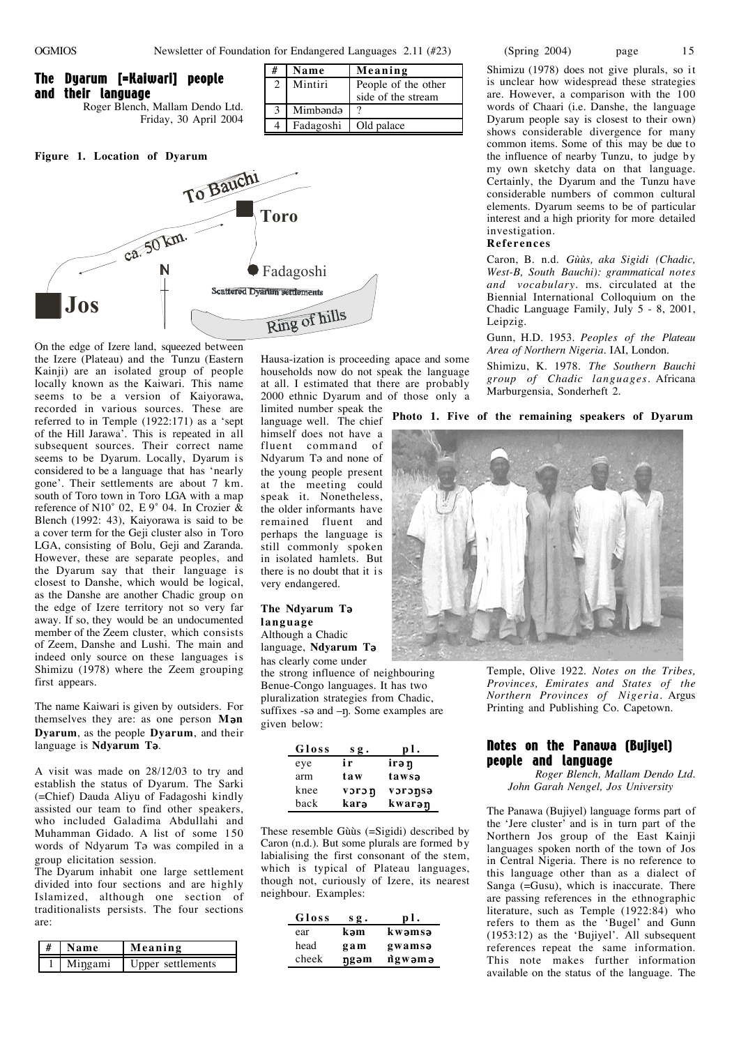

On the edge of Izere land, squeezed between the Izere (Plateau) and the Tunzu (Eastern Kainji) are an isolated group of people locally known as the Kaiwari. This name seems to be a version of Kaiyorawa, recorded in various sources. These are referred to in Temple (1922:171) as a 'sept of the Hill Jarawa'. This is repeated in all subsequent sources. Their correct name seems to be Dyarum. Locally, Dyarum is considered to be a language that has 'nearly gone'. Their settlements are about 7 km. south of Toro town in Toro LGA with a map reference of N10° 02, E 9° 04. In Crozier  $\&$ Blench (1992: 43), Kaiyorawa is said to be a cover term for the Geji cluster also in Toro LGA, consisting of Bolu, Geji and Zaranda. However, these are separate peoples, and the Dyarum say that their language is closest to Danshe, which would be logical, as the Danshe are another Chadic group on the edge of Izere territory not so very far away. If so, they would be an undocumented member of the Zeem cluster, which consists of Zeem, Danshe and Lushi. The main and indeed only source on these languages is Shimizu (1978) where the Zeem grouping first appears.

The name Kaiwari is given by outsiders. For themselves they are: as one person **M**\**n Dyarum**, as the people **Dyarum**, and their language is **Ndyarum T**\.

A visit was made on 28/12/03 to try and establish the status of Dyarum. The Sarki (=Chief) Dauda Aliyu of Fadagoshi kindly assisted our team to find other speakers, who included Galadima Abdullahi and Muhamman Gidado. A list of some 150 words of Ndyarum Ta was compiled in a group elicitation session.

The Dyarum inhabit one large settlement divided into four sections and are highly Islamized, although one section of traditionalists persists. The four sections are:

|  | Name    | Meaning           |
|--|---------|-------------------|
|  | Mingami | Upper settlements |

Hausa-ization is proceeding apace and some households now do not speak the language at all. I estimated that there are probably 2000 ethnic Dyarum and of those only a

limited number speak the language well. The chief himself does not have a fluent command of Ndyarum T<sub>2</sub> and none of the young people present at the meeting could speak it. Nonetheless, the older informants have remained fluent and perhaps the language is still commonly spoken in isolated hamlets. But there is no doubt that it is very endangered.

### **The Ndyarum T**\ **language**

Although a Chadic language, **Ndyarum T**\ has clearly come under

the strong influence of neighbouring Benue-Congo languages. It has two pluralization strategies from Chadic, suffixes -s $a$  and  $-\eta$ . Some examples are given below:

| Gloss | sg.   | рI.     |
|-------|-------|---------|
| eye   | i r   | irən    |
| arm   | taw   | tawsa   |
| knee  | vərən | voronsa |
| back  | karə  | kwarən  |

These resemble Gùùs (=Sigidi) described by Caron (n.d.). But some plurals are formed by labialising the first consonant of the stem, which is typical of Plateau languages, though not, curiously of Izere, its nearest neighbour. Examples:

| Gloss |      | рI.    |
|-------|------|--------|
| ear   | kəm  | kwəmsə |
| head  | gam  | gwamsə |
| cheek | ngəm | ngwəmə |



Shimizu (1978) does not give plurals, so it is unclear how widespread these strategies are. However, a comparison with the 100 words of Chaari (i.e. Danshe, the language Dyarum people say is closest to their own) shows considerable divergence for many common items. Some of this may be due to the influence of nearby Tunzu, to judge by my own sketchy data on that language. Certainly, the Dyarum and the Tunzu have considerable numbers of common cultural elements. Dyarum seems to be of particular interest and a high priority for more detailed investigation.

### **References**

Caron, B. n.d. *Gùùs, aka Sigidi (Chadic, West-B, South Bauchi): grammatical notes and vocabulary*. ms. circulated at the Biennial International Colloquium on the Chadic Language Family, July 5 - 8, 2001, Leipzig.

Gunn, H.D. 1953. *Peoples of the Plateau Area of Northern Nigeria.* IAI, London.

Shimizu, K. 1978. *The Southern Bauchi group of Chadic languages*. Africana Marburgensia, Sonderheft 2.

### **Photo 1. Five of the remaining speakers of Dyarum**



Temple, Olive 1922. *Notes on the Tribes, Provinces, Emirates and States of the Northern Provinces of Nigeria.* Argus Printing and Publishing Co. Capetown.

## Notes on the Panawa (Bujiyel) people and language

*Roger Blench, Mallam Dendo Ltd. John Garah Nengel, Jos University*

The Panawa (Bujiyel) language forms part of the 'Jere cluster' and is in turn part of the Northern Jos group of the East Kainji languages spoken north of the town of Jos in Central Nigeria. There is no reference to this language other than as a dialect of Sanga (=Gusu), which is inaccurate. There are passing references in the ethnographic literature, such as Temple (1922:84) who refers to them as the 'Bugel' and Gunn (1953:12) as the 'Bujiyel'. All subsequent references repeat the same information. This note makes further information available on the status of the language. The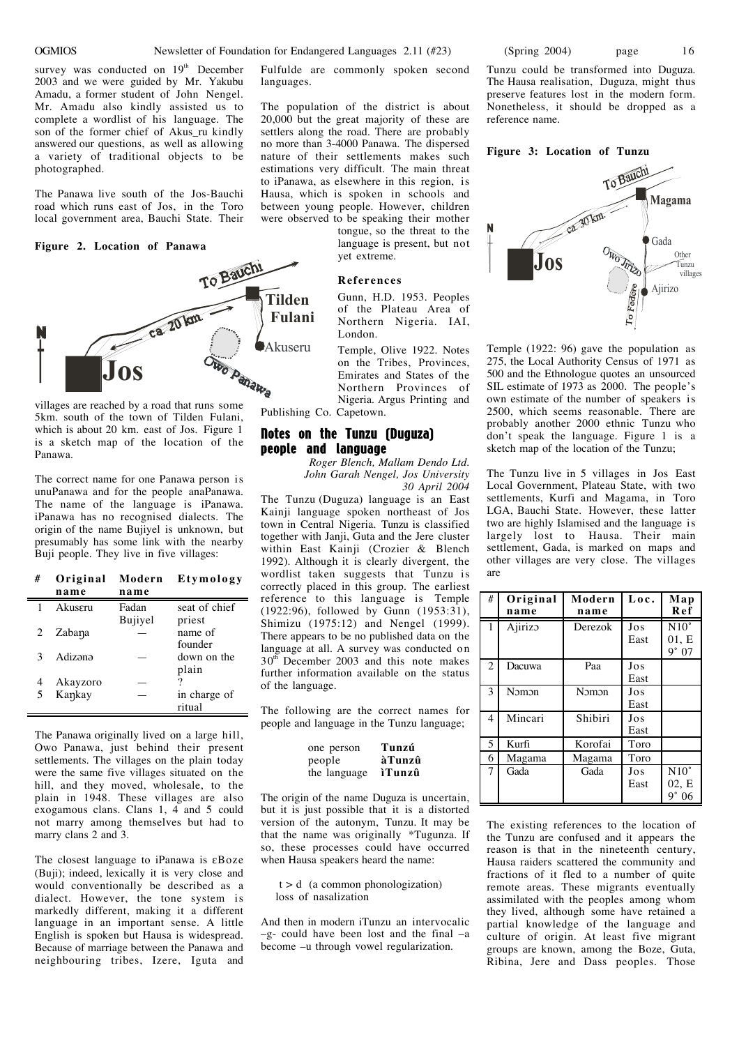survey was conducted on 19<sup>th</sup> December 2003 and we were guided by Mr. Yakubu Amadu, a former student of John Nengel. Mr. Amadu also kindly assisted us to complete a wordlist of his language. The son of the former chief of Akus ru kindly answered our questions, as well as allowing a variety of traditional objects to be photographed.

The Panawa live south of the Jos-Bauchi road which runs east of Jos, in the Toro local government area, Bauchi State. Their

### **Figure 2. Location of Panawa**



5km. south of the town of Tilden Fulani, which is about 20 km. east of Jos. Figure 1 is a sketch map of the location of the Panawa.

The correct name for one Panawa person is unuPanawa and for the people anaPanawa. The name of the language is iPanawa. iPanawa has no recognised dialects. The origin of the name Bujiyel is unknown, but presumably has some link with the nearby Buji people. They live in five villages:

| # | Original | Modern  | Etymology     |  |
|---|----------|---------|---------------|--|
|   | name     | name    |               |  |
| 1 | Akuseru  | Fadan   | seat of chief |  |
|   |          | Bujiyel | priest        |  |
| 2 | Zabana   |         | name of       |  |
|   |          |         | founder       |  |
| 3 | Adizana  |         | down on the   |  |
|   |          |         | plain         |  |
|   | Akayzoro |         |               |  |
| 5 | Kankay   |         | in charge of  |  |
|   |          |         | ritual        |  |

The Panawa originally lived on a large hill, Owo Panawa, just behind their present settlements. The villages on the plain today were the same five villages situated on the hill, and they moved, wholesale, to the plain in 1948. These villages are also exogamous clans. Clans 1, 4 and 5 could not marry among themselves but had to marry clans 2 and 3.

The closest language to iPanawa is  $\epsilon$ Boze (Buji); indeed, lexically it is very close and would conventionally be described as a dialect. However, the tone system is markedly different, making it a different language in an important sense. A little English is spoken but Hausa is widespread. Because of marriage between the Panawa and neighbouring tribes, Izere, Iguta and

Fulfulde are commonly spoken second languages.

The population of the district is about 20,000 but the great majority of these are settlers along the road. There are probably no more than 3-4000 Panawa. The dispersed nature of their settlements makes such estimations very difficult. The main threat to iPanawa, as elsewhere in this region, is Hausa, which is spoken in schools and between young people. However, children were observed to be speaking their mother

tongue, so the threat to the language is present, but not yet extreme.

### **References**

Gunn, H.D. 1953. Peoples of the Plateau Area of Northern Nigeria. IAI, London.

Temple, Olive 1922. Notes on the Tribes, Provinces, Emirates and States of the Northern Provinces of Nigeria. Argus Printing and

Publishing Co. Capetown.

## Notes on the Tunzu (Duguza) people and language

*Roger Blench, Mallam Dendo Ltd. John Garah Nengel, Jos University 30 April 2004*

The Tunzu (Duguza) language is an East Kainji language spoken northeast of Jos town in Central Nigeria. Tunzu is classified together with Janji, Guta and the Jere cluster within East Kainji (Crozier & Blench 1992). Although it is clearly divergent, the wordlist taken suggests that Tunzu is correctly placed in this group. The earliest reference to this language is Temple (1922:96), followed by Gunn (1953:31), Shimizu (1975:12) and Nengel (1999). There appears to be no published data on the language at all. A survey was conducted on 30<sup>th</sup> December 2003 and this note makes further information available on the status of the language.

The following are the correct names for people and language in the Tunzu language;

| one person   | Tunzú  |
|--------------|--------|
| people       | àTunzû |
| the language | ìTunzû |

The origin of the name Duguza is uncertain, but it is just possible that it is a distorted version of the autonym, Tunzu. It may be that the name was originally \*Tugunza. If so, these processes could have occurred when Hausa speakers heard the name:

### $t > d$  (a common phonologization) loss of nasalization

And then in modern iTunzu an intervocalic –g- could have been lost and the final –a become –u through vowel regularization.

Tunzu could be transformed into Duguza. The Hausa realisation, Duguza, might thus preserve features lost in the modern form. Nonetheless, it should be dropped as a reference name.

### **Figure 3: Location of Tunzu**



Temple (1922: 96) gave the population as 275, the Local Authority Census of 1971 as 500 and the Ethnologue quotes an unsourced SIL estimate of 1973 as 2000. The people's own estimate of the number of speakers is 2500, which seems reasonable. There are probably another 2000 ethnic Tunzu who don't speak the language. Figure 1 is a sketch map of the location of the Tunzu;

The Tunzu live in 5 villages in Jos East Local Government, Plateau State, with two settlements, Kurfi and Magama, in Toro LGA, Bauchi State. However, these latter two are highly Islamised and the language is largely lost to Hausa. Their main settlement, Gada, is marked on maps and other villages are very close. The villages are

| #              | Original<br>name | Modern<br>name | Loc.        | Map<br>Ref                     |
|----------------|------------------|----------------|-------------|--------------------------------|
|                | Ajirizə          | Derezok        | Jos<br>East | $N10^{\circ}$<br>01, E<br>9°07 |
| $\overline{c}$ | Dacuwa           | Paa            | Jos<br>East |                                |
| 3              | Nomon            | Nomon          | Jos<br>East |                                |
| $\overline{4}$ | Mincari          | Shibiri        | Jos<br>East |                                |
| 5              | Kurfi            | Korofai        | Toro        |                                |
| 6              | Magama           | Magama         | Toro        |                                |
| 7              | Gada             | Gada           | Jos<br>East | $N10^\circ$<br>02, E<br>9°06   |

The existing references to the location of the Tunzu are confused and it appears the reason is that in the nineteenth century, Hausa raiders scattered the community and fractions of it fled to a number of quite remote areas. These migrants eventually assimilated with the peoples among whom they lived, although some have retained a partial knowledge of the language and culture of origin. At least five migrant groups are known, among the Boze, Guta, Ribina, Jere and Dass peoples. Those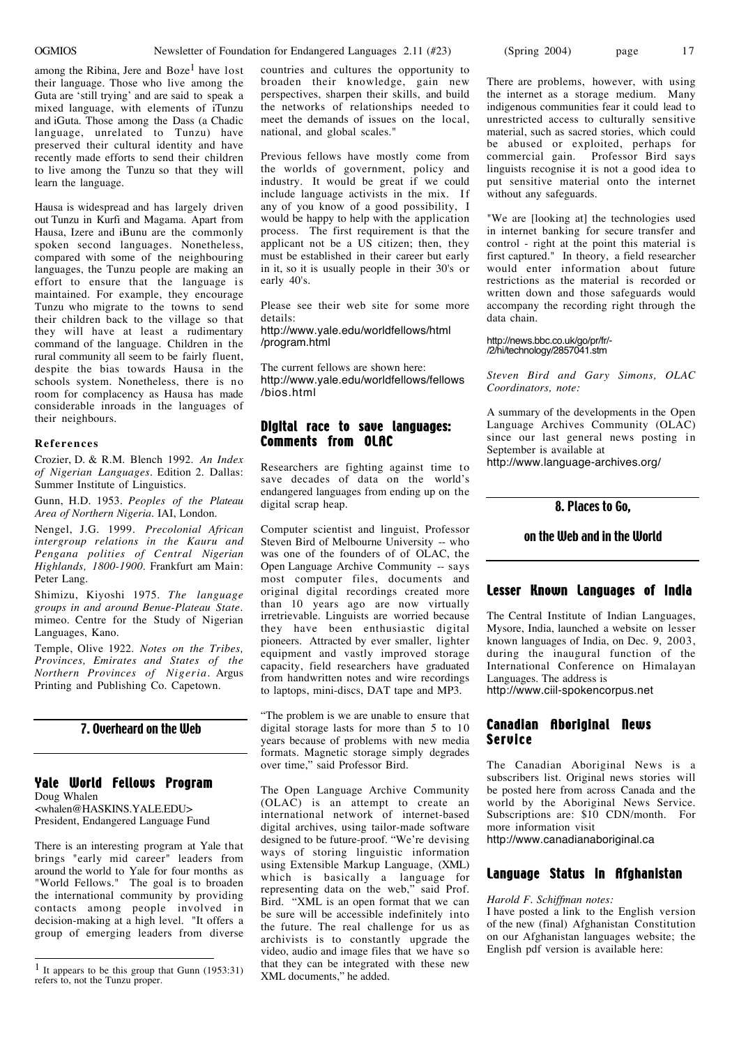among the Ribina, Jere and Boze<sup>1</sup> have lost their language. Those who live among the Guta are 'still trying' and are said to speak a mixed language, with elements of iTunzu and iGuta. Those among the Dass (a Chadic language, unrelated to Tunzu) have preserved their cultural identity and have recently made efforts to send their children to live among the Tunzu so that they will learn the language.

Hausa is widespread and has largely driven out Tunzu in Kurfi and Magama. Apart from Hausa, Izere and iBunu are the commonly spoken second languages. Nonetheless, compared with some of the neighbouring languages, the Tunzu people are making an effort to ensure that the language is maintained. For example, they encourage Tunzu who migrate to the towns to send their children back to the village so that they will have at least a rudimentary command of the language. Children in the rural community all seem to be fairly fluent, despite the bias towards Hausa in the schools system. Nonetheless, there is no room for complacency as Hausa has made considerable inroads in the languages of their neighbours.

### **References**

Crozier, D. & R.M. Blench 1992. *An Index of Nigerian Languages*. Edition 2. Dallas: Summer Institute of Linguistics.

Gunn, H.D. 1953. *Peoples of the Plateau Area of Northern Nigeria.* IAI, London.

Nengel, J.G. 1999. *Precolonial African intergroup relations in the Kauru and Pengana polities of Central Nigerian Highlands, 1800-1900.* Frankfurt am Main: Peter Lang.

Shimizu, Kiyoshi 1975. *The language groups in and around Benue-Plateau State*. mimeo. Centre for the Study of Nigerian Languages, Kano.

Temple, Olive 1922. *Notes on the Tribes, Provinces, Emirates and States of the Northern Provinces of Nigeria.* Argus Printing and Publishing Co. Capetown.

## 7. Overheard on the Web

## Yale World Fellows Program

Doug Whalen <whalen@HASKINS.YALE.EDU> President, Endangered Language Fund

There is an interesting program at Yale that brings "early mid career" leaders from around the world to Yale for four months as "World Fellows." The goal is to broaden the international community by providing contacts among people involved in decision-making at a high level. "It offers a group of emerging leaders from diverse

countries and cultures the opportunity to broaden their knowledge, gain new perspectives, sharpen their skills, and build the networks of relationships needed to meet the demands of issues on the local, national, and global scales."

Previous fellows have mostly come from the worlds of government, policy and industry. It would be great if we could include language activists in the mix. If any of you know of a good possibility, I would be happy to help with the application process. The first requirement is that the applicant not be a  $\overrightarrow{US}$  citizen; then, they must be established in their career but early in it, so it is usually people in their 30's or early 40's.

Please see their web site for some more details: http://www.yale.edu/worldfellows/html /program.html

The current fellows are shown here: http://www.yale.edu/worldfellows/fellows /bios.html

## Digital race to save languages: Comments from OLAC

Researchers are fighting against time to save decades of data on the world's endangered languages from ending up on the digital scrap heap.

Computer scientist and linguist, Professor Steven Bird of Melbourne University -- who was one of the founders of of OLAC, the Open Language Archive Community -- says most computer files, documents and original digital recordings created more than 10 years ago are now virtually irretrievable. Linguists are worried because they have been enthusiastic digital pioneers. Attracted by ever smaller, lighter equipment and vastly improved storage capacity, field researchers have graduated from handwritten notes and wire recordings to laptops, mini-discs, DAT tape and MP3.

"The problem is we are unable to ensure that digital storage lasts for more than 5 to 10 years because of problems with new media formats. Magnetic storage simply degrades over time," said Professor Bird.

The Open Language Archive Community (OLAC) is an attempt to create an international network of internet-based digital archives, using tailor-made software designed to be future-proof. "We're devising ways of storing linguistic information using Extensible Markup Language, (XML) which is basically a language for representing data on the web," said Prof. Bird. "XML is an open format that we can be sure will be accessible indefinitely into the future. The real challenge for us as archivists is to constantly upgrade the video, audio and image files that we have so that they can be integrated with these new XML documents," he added.

There are problems, however, with using the internet as a storage medium. Many indigenous communities fear it could lead to unrestricted access to culturally sensitive material, such as sacred stories, which could be abused or exploited, perhaps for commercial gain. Professor Bird says linguists recognise it is not a good idea to put sensitive material onto the internet without any safeguards.

"We are [looking at] the technologies used in internet banking for secure transfer and control - right at the point this material is first captured." In theory, a field researcher would enter information about future restrictions as the material is recorded or written down and those safeguards would accompany the recording right through the data chain.

http://news.bbc.co.uk/go/pr/fr/- /2/hi/technology/2857041.stm

*Steven Bird and Gary Simons, OLAC Coordinators, note:*

A summary of the developments in the Open Language Archives Community (OLAC) since our last general news posting in September is available at http://www.language-archives.org/

## 8. Places to Go,

### on the Web and in the World

### Lesser Known Languages of India

The Central Institute of Indian Languages, Mysore, India, launched a website on lesser known languages of India, on Dec. 9, 2003, during the inaugural function of the International Conference on Himalayan Languages. The address is http://www.ciil-spokencorpus.net

## Canadian Aboriginal News Service

The Canadian Aboriginal News is a subscribers list. Original news stories will be posted here from across Canada and the world by the Aboriginal News Service. Subscriptions are: \$10 CDN/month. For more information visit

http://www.canadianaboriginal.ca

## Language Status in Afghanistan

### *Harold F. Schiffman notes:*

I have posted a link to the English version of the new (final) Afghanistan Constitution on our Afghanistan languages website; the English pdf version is available here:

 $\frac{1}{1}$  It appears to be this group that Gunn (1953:31) refers to, not the Tunzu proper.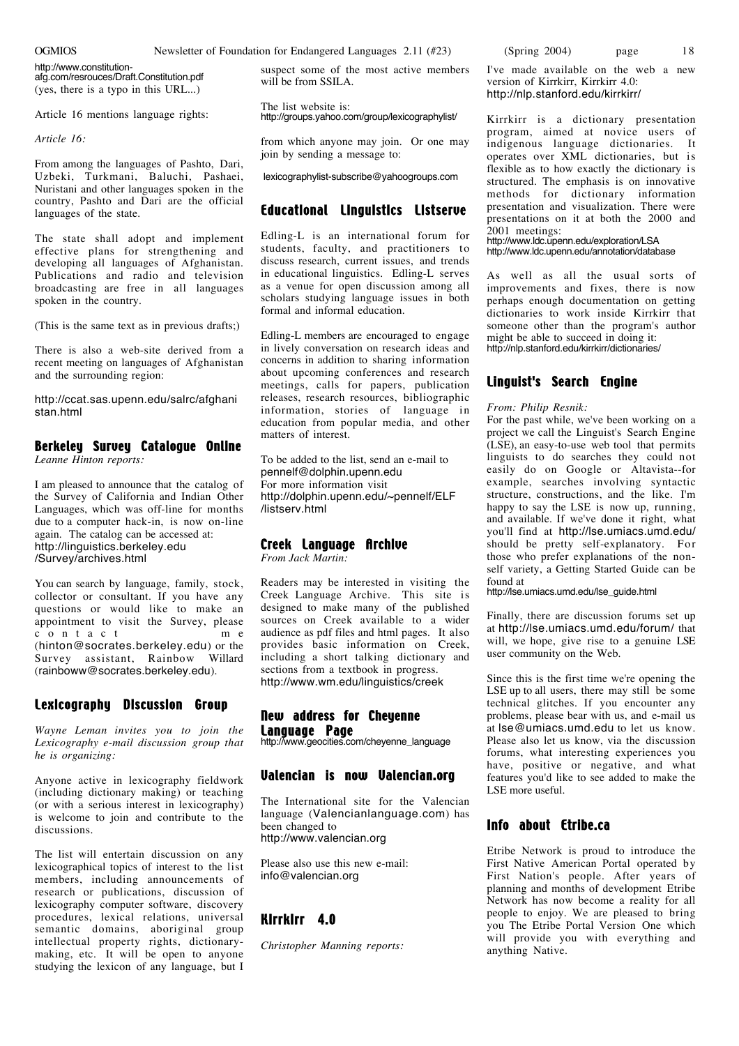http://www.constitutionafg.com/resrouces/Draft.Constitution.pdf (yes, there is a typo in this URL...)

Article 16 mentions language rights:

*Article 16:*

From among the languages of Pashto, Dari, Uzbeki, Turkmani, Baluchi, Pashaei, Nuristani and other languages spoken in the country, Pashto and Dari are the official languages of the state.

The state shall adopt and implement effective plans for strengthening and developing all languages of Afghanistan. Publications and radio and television broadcasting are free in all languages spoken in the country.

(This is the same text as in previous drafts;)

There is also a web-site derived from a recent meeting on languages of Afghanistan and the surrounding region:

http://ccat.sas.upenn.edu/salrc/afghani stan.html

### Berkeley Survey Catalogue Online *Leanne Hinton reports:*

I am pleased to announce that the catalog of the Survey of California and Indian Other Languages, which was off-line for months due to a computer hack-in, is now on-line again. The catalog can be accessed at: http://linguistics.berkeley.edu /Survey/archives.html

You can search by language, family, stock, collector or consultant. If you have any questions or would like to make an appointment to visit the Survey, please contact m e (hinton@socrates.berkeley.edu) or the Survey assistant, Rainbow Willard (rainboww@socrates.berkeley.edu).

## Lexicography Discussion Group

*Wayne Leman invites you to join the Lexicography e-mail discussion group that he is organizing:*

Anyone active in lexicography fieldwork (including dictionary making) or teaching (or with a serious interest in lexicography) is welcome to join and contribute to the discussions.

The list will entertain discussion on any lexicographical topics of interest to the list members, including announcements of research or publications, discussion of lexicography computer software, discovery procedures, lexical relations, universal semantic domains, aboriginal group intellectual property rights, dictionarymaking, etc. It will be open to anyone studying the lexicon of any language, but I suspect some of the most active members will be from SSILA.

The list website is: http://groups.yahoo.com/group/lexicographylist/

from which anyone may join. Or one may join by sending a message to:

lexicographylist-subscribe@yahoogroups.com

## Educational Linguistics Listserve

Edling-L is an international forum for students, faculty, and practitioners to discuss research, current issues, and trends in educational linguistics. Edling-L serves as a venue for open discussion among all scholars studying language issues in both formal and informal education.

Edling-L members are encouraged to engage in lively conversation on research ideas and concerns in addition to sharing information about upcoming conferences and research meetings, calls for papers, publication releases, research resources, bibliographic information, stories of language in education from popular media, and other matters of interest.

To be added to the list, send an e-mail to pennelf@dolphin.upenn.edu For more information visit http://dolphin.upenn.edu/~pennelf/ELF /listserv.html

## Creek Language Archive

*From Jack Martin:*

Readers may be interested in visiting the Creek Language Archive. This site is designed to make many of the published sources on Creek available to a wider audience as pdf files and html pages. It also provides basic information on Creek, including a short talking dictionary and sections from a textbook in progress. http://www.wm.edu/linguistics/creek

## **New address for Cheyenne** Language Page

http://www.geocities.com/cheyenne\_language

## Valencian is now Valencian.org

The International site for the Valencian language (Valencianlanguage.com) has been changed to http://www.valencian.org

Please also use this new e-mail: info@valencian.org

## Kirrkirr 4.0

*Christopher Manning reports:*

I've made available on the web a new version of Kirrkirr, Kirrkirr 4.0: http://nlp.stanford.edu/kirrkirr/

Kirrkirr is a dictionary presentation program, aimed at novice users of indigenous language dictionaries. It operates over XML dictionaries, but is flexible as to how exactly the dictionary is structured. The emphasis is on innovative methods for dictionary information presentation and visualization. There were presentations on it at both the 2000 and 2001 meetings:

http://www.ldc.upenn.edu/exploration/LSA http://www.ldc.upenn.edu/annotation/database

As well as all the usual sorts of improvements and fixes, there is now perhaps enough documentation on getting dictionaries to work inside Kirrkirr that someone other than the program's author might be able to succeed in doing it: http://nlp.stanford.edu/kirrkirr/dictionaries/

## Linguist's Search Engine

*From: Philip Resnik:*

For the past while, we've been working on a project we call the Linguist's Search Engine (LSE), an easy-to-use web tool that permits linguists to do searches they could not easily do on Google or Altavista--for example, searches involving syntactic structure, constructions, and the like. I'm happy to say the LSE is now up, running, and available. If we've done it right, what you'll find at http://lse.umiacs.umd.edu/ should be pretty self-explanatory. For those who prefer explanations of the nonself variety, a Getting Started Guide can be found at

http://lse.umiacs.umd.edu/lse\_guide.html

Finally, there are discussion forums set up at http://lse.umiacs.umd.edu/forum/ that will, we hope, give rise to a genuine LSE user community on the Web.

Since this is the first time we're opening the LSE up to all users, there may still be some technical glitches. If you encounter any problems, please bear with us, and e-mail us at lse@umiacs.umd.edu to let us know. Please also let us know, via the discussion forums, what interesting experiences you have, positive or negative, and what features you'd like to see added to make the LSE more useful.

## Info about Etribe.ca

Etribe Network is proud to introduce the First Native American Portal operated by First Nation's people. After years of planning and months of development Etribe Network has now become a reality for all people to enjoy. We are pleased to bring you The Etribe Portal Version One which will provide you with everything and anything Native.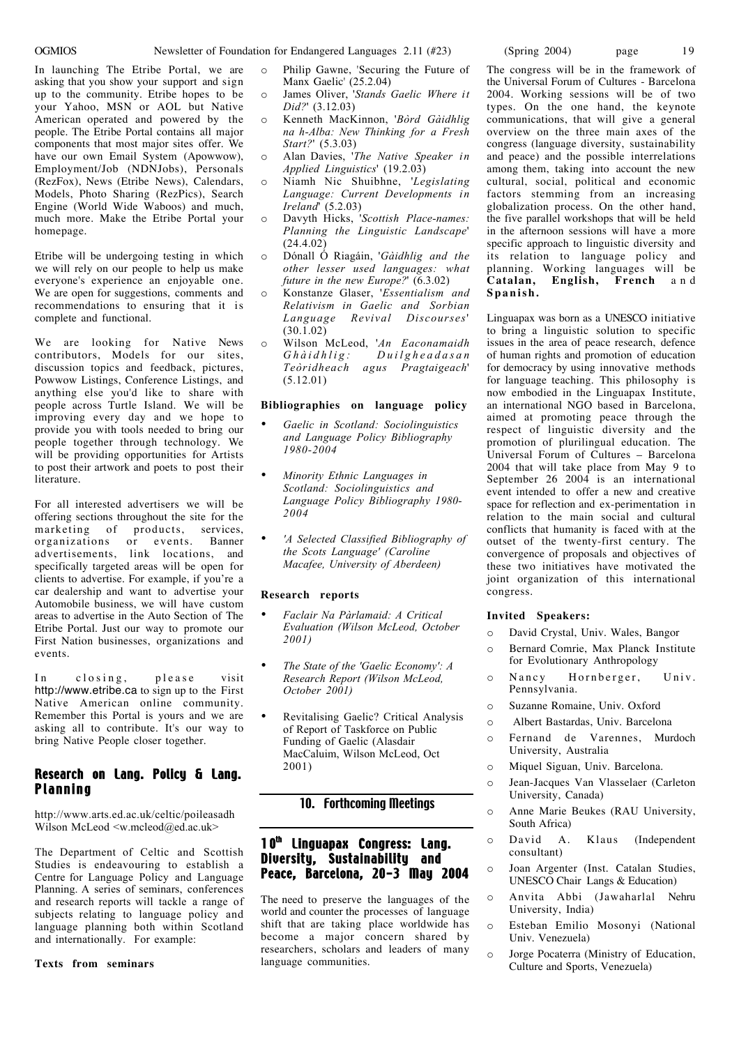In launching The Etribe Portal, we are asking that you show your support and sign up to the community. Etribe hopes to be your Yahoo, MSN or AOL but Native American operated and powered by the people. The Etribe Portal contains all major components that most major sites offer. We have our own Email System (Apowwow), Employment/Job (NDNJobs), Personals (RezFox), News (Etribe News), Calendars, Models, Photo Sharing (RezPics), Search Engine (World Wide Waboos) and much, much more. Make the Etribe Portal your homepage.

Etribe will be undergoing testing in which we will rely on our people to help us make everyone's experience an enjoyable one. We are open for suggestions, comments and recommendations to ensuring that it is complete and functional.

We are looking for Native News contributors, Models for our sites, discussion topics and feedback, pictures, Powwow Listings, Conference Listings, and anything else you'd like to share with people across Turtle Island. We will be improving every day and we hope to provide you with tools needed to bring our people together through technology. We will be providing opportunities for Artists to post their artwork and poets to post their literature.

For all interested advertisers we will be offering sections throughout the site for the marketing of products, services, organizations or events. Banner advertisements, link locations, and specifically targeted areas will be open for clients to advertise. For example, if you're a car dealership and want to advertise your Automobile business, we will have custom areas to advertise in the Auto Section of The Etribe Portal. Just our way to promote our First Nation businesses, organizations and events.

In closing, please visit http://www.etribe.ca to sign up to the First Native American online community. Remember this Portal is yours and we are asking all to contribute. It's our way to bring Native People closer together.

## Research on Lang. Policy & Lang. Planning

http://www.arts.ed.ac.uk/celtic/poileasadh Wilson McLeod <w.mcleod@ed.ac.uk>

The Department of Celtic and Scottish Studies is endeavouring to establish a Centre for Language Policy and Language Planning. A series of seminars, conferences and research reports will tackle a range of subjects relating to language policy and language planning both within Scotland and internationally. For example:

### **Texts from seminars**

- o Philip Gawne, 'Securing the Future of Manx Gaelic' (25.2.04)
- James Oliver, *'Stands<sup>'</sup> Gaelic Where it Did?*' (3.12.03)
- o Kenneth MacKinnon, '*Bòrd Gàidhlig na h-Alba: New Thinking for a Fresh Start?*' (5.3.03)
- o Alan Davies, '*The Native Speaker in Applied Linguistics*' (19.2.03)
- o Niamh Nic Shuibhne, '*Legislating Language: Current Developments in Ireland*' (5.2.03)
- Davyth Hicks, '*Scottish Place-names*: *Planning the Linguistic Landscape*'  $(24.4.02)$
- o Dónall Ó Riagáin, '*Gàidhlig and the other lesser used languages: what future in the new Europe?*' (6.3.02)
- o Konstanze Glaser, '*Essentialism and Relativism in Gaelic and Sorbian Language Revival Discourses*' (30.1.02)
- o Wilson McLeod, '*An Eaconamaidh Ghàidhlig: Duilgheadasan Teòridheach agus Pragtaigeach*'  $(5.12.01)$

### **Bibliographies on language policy**

- *Gaelic in Scotland: Sociolinguistics and Language Policy Bibliography 1980-2004*
- *Minority Ethnic Languages in Scotland: Sociolinguistics and Language Policy Bibliography 1980- 2004*
- *'A Selected Classified Bibliography of the Scots Language' (Caroline Macafee, University of Aberdeen)*

### **Research reports**

- *Faclair Na Pàrlamaid: A Critical Evaluation (Wilson McLeod, October 2001)*
- *The State of the 'Gaelic Economy': A Research Report (Wilson McLeod, October 2001)*
- Revitalising Gaelic? Critical Analysis of Report of Taskforce on Public Funding of Gaelic (Alasdair MacCaluim, Wilson McLeod, Oct 2001)

### 10. Forthcoming Meetings

## 10<sup>th</sup> Linguapax Congress: Lang. Diversity, Sustainability and Peace, Barcelona, 20-3 May 2004

The need to preserve the languages of the world and counter the processes of language shift that are taking place worldwide has become a major concern shared by researchers, scholars and leaders of many language communities.

The congress will be in the framework of the Universal Forum of Cultures - Barcelona 2004. Working sessions will be of two types. On the one hand, the keynote communications, that will give a general overview on the three main axes of the congress (language diversity, sustainability and peace) and the possible interrelations among them, taking into account the new cultural, social, political and economic factors stemming from an increasing globalization process. On the other hand, the five parallel workshops that will be held in the afternoon sessions will have a more specific approach to linguistic diversity and its relation to language policy and planning. Working languages will be **Catalan, English, French** and **Spanish.**

Linguapax was born as a UNESCO initiative to bring a linguistic solution to specific issues in the area of peace research, defence of human rights and promotion of education for democracy by using innovative methods for language teaching. This philosophy is now embodied in the Linguapax Institute, an international NGO based in Barcelona, aimed at promoting peace through the respect of linguistic diversity and the promotion of plurilingual education. The Universal Forum of Cultures – Barcelona 2004 that will take place from May 9 to September 26 2004 is an international event intended to offer a new and creative space for reflection and ex-perimentation in relation to the main social and cultural conflicts that humanity is faced with at the outset of the twenty-first century. The convergence of proposals and objectives of these two initiatives have motivated the joint organization of this international congress.

### **Invited Speakers:**

- o David Crystal, Univ. Wales, Bangor
- o Bernard Comrie, Max Planck Institute for Evolutionary Anthropology
- o Nancy Hornberger, Univ. Pennsylvania.
- o Suzanne Romaine, Univ. Oxford
- o Albert Bastardas, Univ. Barcelona
- o Fernand de Varennes, Murdoch University, Australia
- o Miquel Siguan, Univ. Barcelona.
- o Jean-Jacques Van Vlasselaer (Carleton University, Canada)
- o Anne Marie Beukes (RAU University, South Africa)
- o David A. Klaus (Independent consultant)
- o Joan Argenter (Inst. Catalan Studies, UNESCO Chair Langs & Education)
- o Anvita Abbi (Jawaharlal Nehru University, India)
- o Esteban Emilio Mosonyi (National Univ. Venezuela)
- o Jorge Pocaterra (Ministry of Education, Culture and Sports, Venezuela)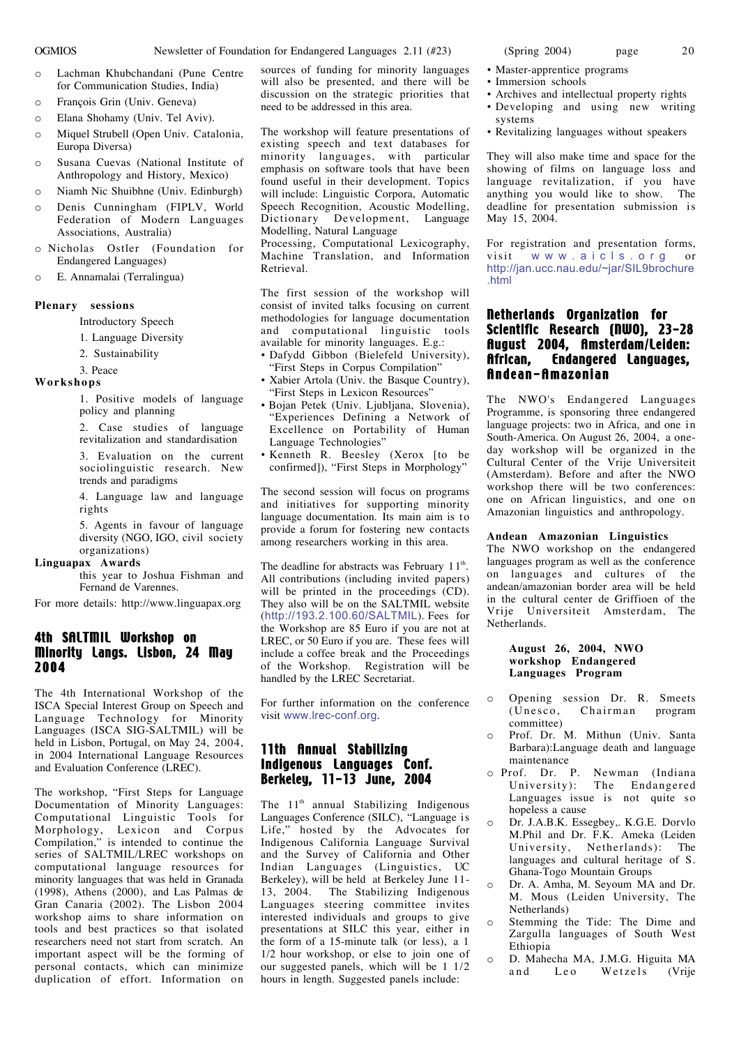- o Lachman Khubchandani (Pune Centre for Communication Studies, India)
- o François Grin (Univ. Geneva)
- o Elana Shohamy (Univ. Tel Aviv).
- o Miquel Strubell (Open Univ. Catalonia, Europa Diversa)
- o Susana Cuevas (National Institute of Anthropology and History, Mexico)
- o Niamh Nic Shuibhne (Univ. Edinburgh)
- o Denis Cunningham (FIPLV, World Federation of Modern Languages Associations, Australia)
- o Nicholas Ostler (Foundation for Endangered Languages)
- o E. Annamalai (Terralingua)

### **Plenary sessions**

- Introductory Speech
- 1. Language Diversity
- 2. Sustainability

## 3. Peace

## **Workshops**

1. Positive models of language policy and planning

2. Case studies of language revitalization and standardisation

3. Evaluation on the current sociolinguistic research. New trends and paradigms

4. Language law and language rights

5. Agents in favour of language diversity (NGO, IGO, civil society organizations)

## **Linguapax Awards**

this year to Joshua Fishman and Fernand de Varennes.

For more details: http://www.linguapax.org

## 4th SALTMIL Workshop on Minority Langs. Lisbon, 24 May 2004

The 4th International Workshop of the ISCA Special Interest Group on Speech and Language Technology for Minority Languages (ISCA SIG-SALTMIL) will be held in Lisbon, Portugal, on May 24, 2004, in 2004 International Language Resources and Evaluation Conference (LREC).

The workshop, "First Steps for Language Documentation of Minority Languages: Computational Linguistic Tools for Morphology, Lexicon and Corpus Compilation," is intended to continue the series of SALTMIL/LREC workshops on computational language resources for minority languages that was held in Granada (1998), Athens (2000), and Las Palmas de Gran Canaria (2002). The Lisbon 2004 workshop aims to share information on tools and best practices so that isolated researchers need not start from scratch. An important aspect will be the forming of personal contacts, which can minimize duplication of effort. Information on sources of funding for minority languages will also be presented, and there will be discussion on the strategic priorities that need to be addressed in this area.

The workshop will feature presentations of existing speech and text databases for minority languages, with particular emphasis on software tools that have been found useful in their development. Topics will include: Linguistic Corpora, Automatic Speech Recognition, Acoustic Modelling, Dictionary Development, Language Modelling, Natural Language

Processing, Computational Lexicography, Machine Translation, and Information Retrieval.

The first session of the workshop will consist of invited talks focusing on current methodologies for language documentation and computational linguistic tools available for minority languages. E.g.:

- Dafydd Gibbon (Bielefeld University), "First Steps in Corpus Compilation"
- Xabier Artola (Univ. the Basque Country), "First Steps in Lexicon Resources"
- Bojan Petek (Univ. Ljubljana, Slovenia), "Experiences Defining a Network of Excellence on Portability of Human Language Technologies"
- Kenneth R. Beesley (Xerox [to be confirmed]), "First Steps in Morphology"

The second session will focus on programs and initiatives for supporting minority language documentation. Its main aim is to provide a forum for fostering new contacts among researchers working in this area.

The deadline for abstracts was February  $11<sup>th</sup>$ . All contributions (including invited papers) will be printed in the proceedings (CD). They also will be on the SALTMIL website (http://193.2.100.60/SALTMIL). Fees for the Workshop are 85 Euro if you are not at LREC, or 50 Euro if you are. These fees will include a coffee break and the Proceedings of the Workshop. Registration will be handled by the LREC Secretariat.

For further information on the conference visit www.lrec-conf.org.

## 11th Annual Stabilizing Indigenous Languages Conf. Berkeley, 11-13 June, 2004

The  $11<sup>th</sup>$  annual Stabilizing Indigenous Languages Conference (SILC), "Language is Life," hosted by the Advocates for Indigenous California Language Survival and the Survey of California and Other Indian Languages (Linguistics, UC Berkeley), will be held at Berkeley June 11- 13, 2004. The Stabilizing Indigenous Languages steering committee invites interested individuals and groups to give presentations at SILC this year, either in the form of a 15-minute talk (or less), a 1 1/2 hour workshop, or else to join one of our suggested panels, which will be 1 1/2 hours in length. Suggested panels include:

- Master-apprentice programs
- Immersion schools
- Archives and intellectual property rights • Developing and using new writing systems
- Revitalizing languages without speakers

They will also make time and space for the showing of films on language loss and language revitalization, if you have anything you would like to show. The deadline for presentation submission is May 15, 2004.

For registration and presentation forms, visit www.aicls.org or http://jan.ucc.nau.edu/~jar/SIL9brochure .html

## Netherlands Organization for Scientific Research (NWO), 23-28 August 2004, Amsterdam/Leiden: African, Endangered Languages, Andean-Amazonian

The NWO's Endangered Languages Programme, is sponsoring three endangered language projects: two in Africa, and one in South-America. On August 26, 2004, a oneday workshop will be organized in the Cultural Center of the Vrije Universiteit (Amsterdam). Before and after the NWO workshop there will be two conferences: one on African linguistics, and one on Amazonian linguistics and anthropology.

### **Andean Amazonian Linguistics**

The NWO workshop on the endangered languages program as well as the conference on languages and cultures of the andean/amazonian border area will be held in the cultural center de Griffioen of the Vrije Universiteit Amsterdam, The Netherlands.

### **August 26, 2004, NWO workshop Endangered Languages Program**

- o Opening session Dr. R. Smeets (Unesco, Chairman program committee)
- o Prof. Dr. M. Mithun (Univ. Santa Barbara):Language death and language maintenance
- o Prof. Dr. P. Newman (Indiana University): The Endangered Languages issue is not quite so hopeless a cause
- o Dr. J.A.B.K. Essegbey,. K.G.E. Dorvlo M.Phil and Dr. F.K. Ameka (Leiden University, Netherlands): The languages and cultural heritage of S. Ghana-Togo Mountain Groups
- o Dr. A. Amha, M. Seyoum MA and Dr. M. Mous (Leiden University, The Netherlands)
- o Stemming the Tide: The Dime and Zargulla languages of South West Ethiopia
- o D. Mahecha MA, J.M.G. Higuita MA and Leo Wetzels (Vrije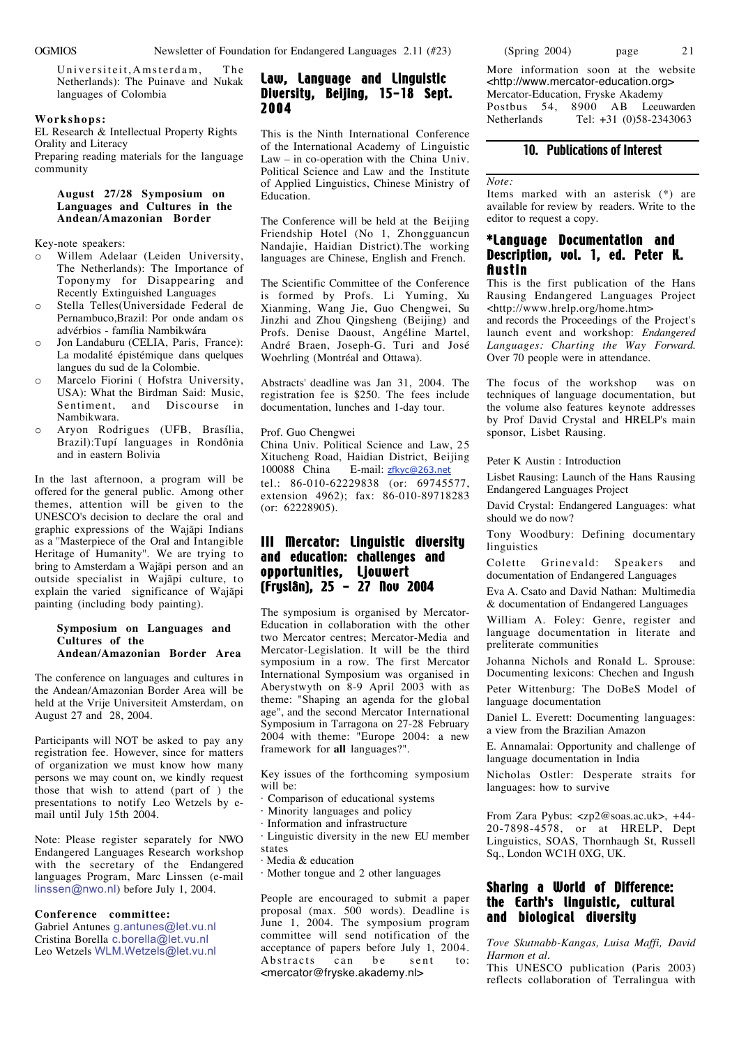Universiteit,Amsterdam, The Netherlands): The Puinave and Nukak languages of Colombia

### **Workshops:**

EL Research & Intellectual Property Rights Orality and Literacy

Preparing reading materials for the language community

### **August 27/28 Symposium on Languages and Cultures in the Andean/Amazonian Border**

Key-note speakers:

- o Willem Adelaar (Leiden University, The Netherlands): The Importance of Toponymy for Disappearing and Recently Extinguished Languages
- o Stella Telles(Universidade Federal de Pernambuco,Brazil: Por onde andam os advérbios - família Nambikwára
- o Jon Landaburu (CELIA, Paris, France): La modalité épistémique dans quelques langues du sud de la Colombie.
- o Marcelo Fiorini ( Hofstra University, USA): What the Birdman Said: Music, Sentiment, and Discourse in Nambikwara.
- o Aryon Rodrigues (UFB, Brasília, Brazil):Tupí languages in Rondônia and in eastern Bolivia

In the last afternoon, a program will be offered for the general public. Among other themes, attention will be given to the UNESCO's decision to declare the oral and graphic expressions of the Wajãpi Indians as a ''Masterpiece of the Oral and Intangible Heritage of Humanity''. We are trying to bring to Amsterdam a Wajãpi person and an outside specialist in Wajãpi culture, to explain the varied significance of Wajãpi painting (including body painting).

### **Symposium on Languages and Cultures of the Andean/Amazonian Border Area**

The conference on languages and cultures in the Andean/Amazonian Border Area will be held at the Vrije Universiteit Amsterdam, on August 27 and 28, 2004.

Participants will NOT be asked to pay any registration fee. However, since for matters of organization we must know how many persons we may count on, we kindly request those that wish to attend (part of ) the presentations to notify Leo Wetzels by email until July 15th 2004.

Note: Please register separately for NWO Endangered Languages Research workshop with the secretary of the Endangered languages Program, Marc Linssen (e-mail linssen@nwo.nl) before July 1, 2004.

### **Conference committee:**

Gabriel Antunes g.antunes@let.vu.nl Cristina Borella c.borella@let.vu.nl Leo Wetzels WLM.Wetzels@let.vu.nl

## Law, Language and Linguistic Diversity, Beijing, 15-18 Sept. 2004

This is the Ninth International Conference of the International Academy of Linguistic Law – in co-operation with the China Univ. Political Science and Law and the Institute of Applied Linguistics, Chinese Ministry of Education.

The Conference will be held at the Beijing Friendship Hotel (No 1, Zhongguancun Nandajie, Haidian District).The working languages are Chinese, English and French.

The Scientific Committee of the Conference is formed by Profs. Li Yuming, Xu Xianming, Wang Jie, Guo Chengwei, Su Jinzhi and Zhou Qingsheng (Beijing) and Profs. Denise Daoust, Angéline Martel, André Braen, Joseph-G. Turi and José Woehrling (Montréal and Ottawa).

Abstracts' deadline was Jan 31, 2004. The registration fee is \$250. The fees include documentation, lunches and 1-day tour.

### Prof. Guo Chengwei

China Univ. Political Science and Law, 25 Xitucheng Road, Haidian District, Beijing 100088 China E-mail: zfkyc@263.net tel.: 86-010-62229838 (or: 69745577, extension 4962); fax: 86-010-89718283 (or: 62228905).

## III Mercator: Linguistic diversity and education: challenges and opportunities, Ljouwert (Fryslân), 25 - 27 Nov 2004

The symposium is organised by Mercator-Education in collaboration with the other two Mercator centres; Mercator-Media and Mercator-Legislation. It will be the third symposium in a row. The first Mercator International Symposium was organised in Aberystwyth on 8-9 April 2003 with as theme: "Shaping an agenda for the global age", and the second Mercator International Symposium in Tarragona on 27-28 February 2004 with theme: "Europe 2004: a new framework for **all** languages?".

Key issues of the forthcoming symposium will be:

- · Comparison of educational systems
- · Minority languages and policy
- · Information and infrastructure
- · Linguistic diversity in the new EU member states
- · Media & education
- · Mother tongue and 2 other languages

People are encouraged to submit a paper proposal (max. 500 words). Deadline is June 1, 2004. The symposium program committee will send notification of the acceptance of papers before July 1, 2004. Abstracts can be sent to: <mercator@fryske.akademy.nl>

More information soon at the website <http://www.mercator-education.org> Mercator-Education, Fryske Akademy Postbus 54, 8900 AB Leeuwarden<br>Netherlands Tel: +31 (0)58-2343063 Tel:  $+31$  (0)58-2343063

## 10. Publications of Interest

### *Note:*

Items marked with an asterisk (\*) are available for review by readers. Write to the editor to request a copy.

## \*Language Documentation and Description, vol. 1, ed. Peter K. Austin

This is the first publication of the Hans Rausing Endangered Languages Project <http://www.hrelp.org/home.htm> and records the Proceedings of the Project's launch event and workshop: *Endangered Languages: Charting the Way Forward*. Over 70 people were in attendance.

The focus of the workshop was on techniques of language documentation, but the volume also features keynote addresses by Prof David Crystal and HRELP's main sponsor, Lisbet Rausing.

Peter K Austin : Introduction

Lisbet Rausing: Launch of the Hans Rausing Endangered Languages Project

David Crystal: Endangered Languages: what should we do now?

Tony Woodbury: Defining documentary linguistics

Colette Grinevald: Speakers and documentation of Endangered Languages

Eva A. Csato and David Nathan: Multimedia & documentation of Endangered Languages

William A. Foley: Genre, register and language documentation in literate and preliterate communities

Johanna Nichols and Ronald L. Sprouse: Documenting lexicons: Chechen and Ingush Peter Wittenburg: The DoBeS Model of language documentation

Daniel L. Everett: Documenting languages: a view from the Brazilian Amazon

E. Annamalai: Opportunity and challenge of language documentation in India

Nicholas Ostler: Desperate straits for languages: how to survive

From Zara Pybus: <zp2@soas.ac.uk>, +44- 20-7898-4578, or at HRELP, Dept Linguistics, SOAS, Thornhaugh St, Russell Sq., London WC1H 0XG, UK.

## Sharing a World of Difference: the Earth's linguistic, cultural and biological diversity

*Tove Skutnabb-Kangas, Luisa Maffi, David Harmon et al.*

This UNESCO publication (Paris 2003) reflects collaboration of Terralingua with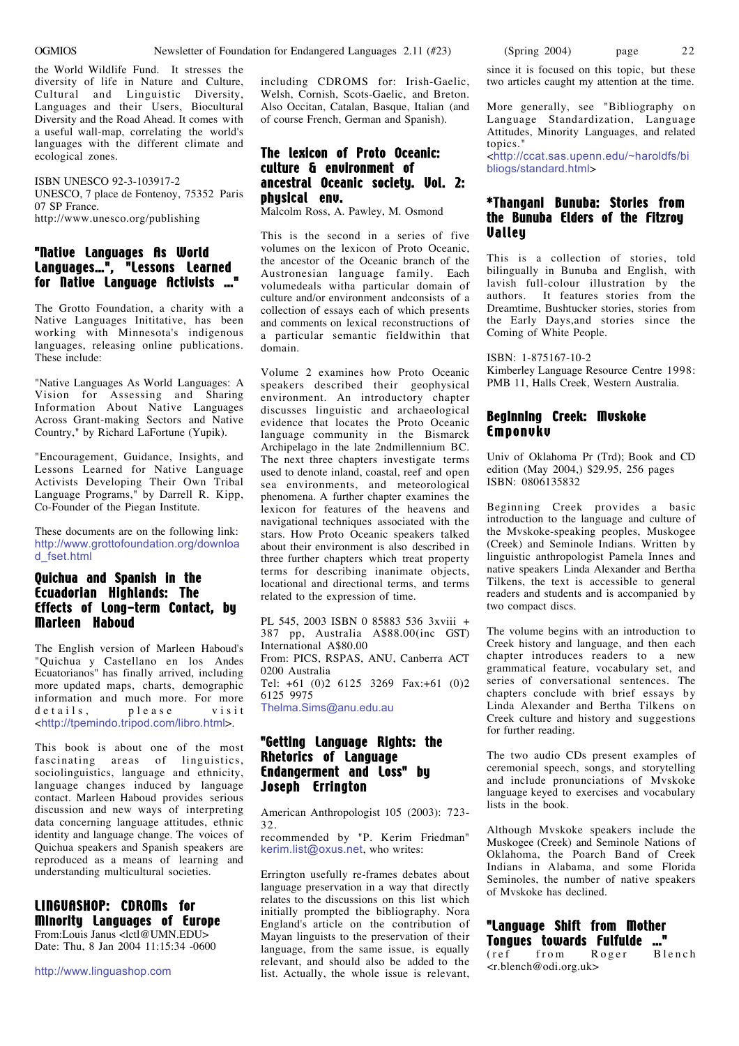the World Wildlife Fund. It stresses the diversity of life in Nature and Culture, Cultural and Linguistic Diversity, Languages and their Users, Biocultural Diversity and the Road Ahead. It comes with a useful wall-map, correlating the world's languages with the different climate and ecological zones.

ISBN UNESCO 92-3-103917-2 UNESCO, 7 place de Fontenoy, 75352 Paris 07 SP France. http://www.unesco.org/publishing

## "Native Languages As World Languages…", "Lessons Learned for Native Language Activists …"

The Grotto Foundation, a charity with a Native Languages Inititative, has been working with Minnesota's indigenous languages, releasing online publications. These include:

"Native Languages As World Languages: A Vision for Assessing and Sharing Information About Native Languages Across Grant-making Sectors and Native Country," by Richard LaFortune (Yupik).

"Encouragement, Guidance, Insights, and Lessons Learned for Native Language Activists Developing Their Own Tribal Language Programs," by Darrell R. Kipp, Co-Founder of the Piegan Institute.

These documents are on the following link: http://www.grottofoundation.org/downloa d\_fset.html

## Quichua and Spanish in the Ecuadorian Highlands: The Effects of Long-term Contact, by Marleen Haboud

The English version of Marleen Haboud's "Quichua y Castellano en los Andes Ecuatorianos" has finally arrived, including more updated maps, charts, demographic information and much more. For more details, please visit <http://tpemindo.tripod.com/libro.html>.

This book is about one of the most fascinating areas of linguistics, sociolinguistics, language and ethnicity, language changes induced by language contact. Marleen Haboud provides serious discussion and new ways of interpreting data concerning language attitudes, ethnic identity and language change. The voices of Quichua speakers and Spanish speakers are reproduced as a means of learning and understanding multicultural societies.

### LINGUASHOP: CDROMs for Minority Languages of Europe From:Louis Janus <lctl@UMN.EDU> Date: Thu, 8 Jan 2004 11:15:34 -0600

http://www.linguashop.com

including CDROMS for: Irish-Gaelic, Welsh, Cornish, Scots-Gaelic, and Breton. Also Occitan, Catalan, Basque, Italian (and of course French, German and Spanish).

## The lexicon of Proto Oceanic: culture & environment of ancestral Oceanic society. Vol. 2: physical env.

Malcolm Ross, A. Pawley, M. Osmond

This is the second in a series of five volumes on the lexicon of Proto Oceanic, the ancestor of the Oceanic branch of the Austronesian language family. Each volumedeals witha particular domain of culture and/or environment andconsists of a collection of essays each of which presents and comments on lexical reconstructions of a particular semantic fieldwithin that domain.

Volume 2 examines how Proto Oceanic speakers described their geophysical environment. An introductory chapter discusses linguistic and archaeological evidence that locates the Proto Oceanic language community in the Bismarck Archipelago in the late 2ndmillennium BC. The next three chapters investigate terms used to denote inland, coastal, reef and open sea environments, and meteorological phenomena. A further chapter examines the lexicon for features of the heavens and navigational techniques associated with the stars. How Proto Oceanic speakers talked about their environment is also described in three further chapters which treat property terms for describing inanimate objects, locational and directional terms, and terms related to the expression of time.

PL 545, 2003 ISBN 0 85883 536 3xviii + 387 pp, Australia A\$88.00(inc GST) International A\$80.00 From: PICS, RSPAS, ANU, Canberra ACT 0200 Australia Tel: +61 (0)2 6125 3269 Fax:+61 (0)2 6125 9975 Thelma.Sims@anu.edu.au

## "Getting Language Rights: the Rhetorics of Language Endangerment and Loss" by Joseph Errington

American Anthropologist 105 (2003): 723- 32.

recommended by "P. Kerim Friedman" kerim.list@oxus.net, who writes:

Errington usefully re-frames debates about language preservation in a way that directly relates to the discussions on this list which initially prompted the bibliography. Nora England's article on the contribution of Mayan linguists to the preservation of their language, from the same issue, is equally relevant, and should also be added to the list. Actually, the whole issue is relevant,

since it is focused on this topic, but these two articles caught my attention at the time.

More generally, see "Bibliography on Language Standardization, Language Attitudes, Minority Languages, and related topics."

<http://ccat.sas.upenn.edu/~haroldfs/bi bliogs/standard.html>

## \*Thangani Bunuba: Stories from the Bunuba Elders of the Fitzroy Valley

This is a collection of stories, told bilingually in Bunuba and English, with lavish full-colour illustration by the authors. It features stories from the Dreamtime, Bushtucker stories, stories from the Early Days,and stories since the Coming of White People.

ISBN: 1-875167-10-2 Kimberley Language Resource Centre 1998: PMB 11, Halls Creek, Western Australia.

## Beginning Creek: Mvskoke Emponvkv

Univ of Oklahoma Pr (Trd); Book and CD edition (May 2004,) \$29.95, 256 pages ISBN: 0806135832

Beginning Creek provides a basic introduction to the language and culture of the Mvskoke-speaking peoples, Muskogee (Creek) and Seminole Indians. Written by linguistic anthropologist Pamela Innes and native speakers Linda Alexander and Bertha Tilkens, the text is accessible to general readers and students and is accompanied by two compact discs.

The volume begins with an introduction to Creek history and language, and then each chapter introduces readers to a new grammatical feature, vocabulary set, and series of conversational sentences. The chapters conclude with brief essays by Linda Alexander and Bertha Tilkens on Creek culture and history and suggestions for further reading.

The two audio CDs present examples of ceremonial speech, songs, and storytelling and include pronunciations of Mvskoke language keyed to exercises and vocabulary lists in the book.

Although Mvskoke speakers include the Muskogee (Creek) and Seminole Nations of Oklahoma, the Poarch Band of Creek Indians in Alabama, and some Florida Seminoles, the number of native speakers of Mvskoke has declined.

## "Language Shift from Mother **Tongues towards Fulfulde ..."**<br>(ref from Roger Blo (ref from Roger Blench

<r.blench@odi.org.uk>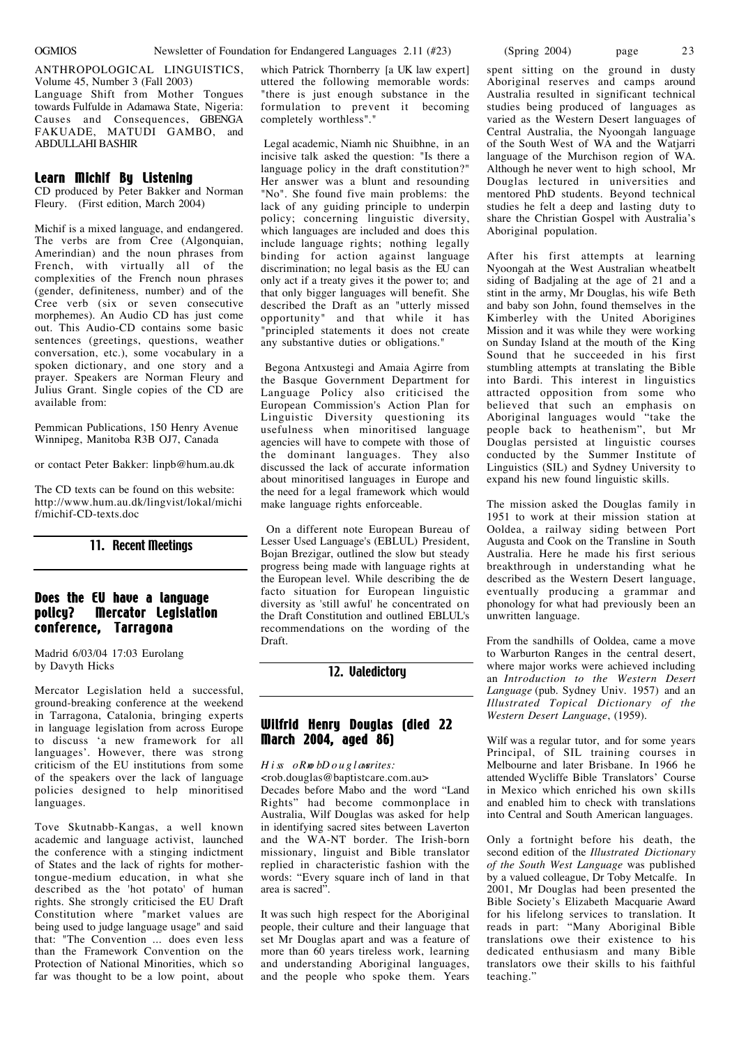ANTHROPOLOGICAL LINGUISTICS, Volume 45, Number 3 (Fall 2003)

Language Shift from Mother Tongues towards Fulfulde in Adamawa State, Nigeria: Causes and Consequences, GBENGA FAKUADE, MATUDI GAMBO, and ABDULLAHI BASHIR

## Learn Michif By Listening

CD produced by Peter Bakker and Norman Fleury. (First edition, March 2004)

Michif is a mixed language, and endangered. The verbs are from Cree (Algonquian, Amerindian) and the noun phrases from French, with virtually all of the complexities of the French noun phrases (gender, definiteness, number) and of the Cree verb (six or seven consecutive morphemes). An Audio CD has just come out. This Audio-CD contains some basic sentences (greetings, questions, weather conversation, etc.), some vocabulary in a spoken dictionary, and one story and a prayer. Speakers are Norman Fleury and Julius Grant. Single copies of the CD are available from:

Pemmican Publications, 150 Henry Avenue Winnipeg, Manitoba R3B OJ7, Canada

or contact Peter Bakker: linpb@hum.au.dk

The CD texts can be found on this website: http://www.hum.au.dk/lingvist/lokal/michi f/michif-CD-texts.doc

11. Recent Meetings

## Does the EU have a language policy? Mercator Legislation conference, Tarragona

Madrid 6/03/04 17:03 Eurolang by Davyth Hicks

Mercator Legislation held a successful, ground-breaking conference at the weekend in Tarragona, Catalonia, bringing experts in language legislation from across Europe to discuss 'a new framework for all languages'. However, there was strong criticism of the EU institutions from some of the speakers over the lack of language policies designed to help minoritised languages.

Tove Skutnabb-Kangas, a well known academic and language activist, launched the conference with a stinging indictment of States and the lack of rights for mothertongue-medium education, in what she described as the 'hot potato' of human rights. She strongly criticised the EU Draft Constitution where "market values are being used to judge language usage" and said that: "The Convention ... does even less than the Framework Convention on the Protection of National Minorities, which so far was thought to be a low point, about

which Patrick Thornberry [a UK law expert] uttered the following memorable words: "there is just enough substance in the formulation to prevent it becoming completely worthless"."

 Legal academic, Niamh nic Shuibhne, in an incisive talk asked the question: "Is there a language policy in the draft constitution?" Her answer was a blunt and resounding "No". She found five main problems: the lack of any guiding principle to underpin policy; concerning linguistic diversity, which languages are included and does this include language rights; nothing legally binding for action against language discrimination; no legal basis as the EU can only act if a treaty gives it the power to; and that only bigger languages will benefit. She described the Draft as an "utterly missed opportunity" and that while it has "principled statements it does not create any substantive duties or obligations."

 Begona Antxustegi and Amaia Agirre from the Basque Government Department for Language Policy also criticised the European Commission's Action Plan for Linguistic Diversity questioning its usefulness when minoritised language agencies will have to compete with those of the dominant languages. They also discussed the lack of accurate information about minoritised languages in Europe and the need for a legal framework which would make language rights enforceable.

 On a different note European Bureau of Lesser Used Language's (EBLUL) President, Bojan Brezigar, outlined the slow but steady progress being made with language rights at the European level. While describing the de facto situation for European linguistic diversity as 'still awful' he concentrated on the Draft Constitution and outlined EBLUL's recommendations on the wording of the Draft.

12. Valedictory

## Wilfrid Henry Douglas (died 22 March 2004, aged 86)

*His oRwbDouglasmites:* 

<rob.douglas@baptistcare.com.au> Decades before Mabo and the word "Land Rights" had become commonplace in Australia, Wilf Douglas was asked for help in identifying sacred sites between Laverton and the WA-NT border. The Irish-born missionary, linguist and Bible translator replied in characteristic fashion with the words: "Every square inch of land in that area is sacred".

It was such high respect for the Aboriginal people, their culture and their language that set Mr Douglas apart and was a feature of more than 60 years tireless work, learning and understanding Aboriginal languages, and the people who spoke them. Years

spent sitting on the ground in dusty Aboriginal reserves and camps around Australia resulted in significant technical studies being produced of languages as varied as the Western Desert languages of Central Australia, the Nyoongah language of the South West of WA and the Watjarri language of the Murchison region of WA. Although he never went to high school, Mr Douglas lectured in universities and mentored PhD students. Beyond technical studies he felt a deep and lasting duty to share the Christian Gospel with Australia's Aboriginal population.

After his first attempts at learning Nyoongah at the West Australian wheatbelt siding of Badjaling at the age of 21 and a stint in the army, Mr Douglas, his wife Beth and baby son John, found themselves in the Kimberley with the United Aborigines Mission and it was while they were working on Sunday Island at the mouth of the King Sound that he succeeded in his first stumbling attempts at translating the Bible into Bardi. This interest in linguistics attracted opposition from some who believed that such an emphasis on Aboriginal languages would "take the people back to heathenism", but Mr Douglas persisted at linguistic courses conducted by the Summer Institute of Linguistics (SIL) and Sydney University to expand his new found linguistic skills.

The mission asked the Douglas family in 1951 to work at their mission station at Ooldea, a railway siding between Port Augusta and Cook on the Transline in South Australia. Here he made his first serious breakthrough in understanding what he described as the Western Desert language, eventually producing a grammar and phonology for what had previously been an unwritten language.

From the sandhills of Ooldea, came a move to Warburton Ranges in the central desert, where major works were achieved including an *Introduction to the Western Desert Language* (pub. Sydney Univ. 1957) and an *Illustrated Topical Dictionary of the Western Desert Language*, (1959).

Wilf was a regular tutor, and for some years Principal, of SIL training courses in Melbourne and later Brisbane. In 1966 he attended Wycliffe Bible Translators' Course in Mexico which enriched his own skills and enabled him to check with translations into Central and South American languages.

Only a fortnight before his death, the second edition of the *Illustrated Dictionary of the South West Language* was published by a valued colleague, Dr Toby Metcalfe. In 2001, Mr Douglas had been presented the Bible Society's Elizabeth Macquarie Award for his lifelong services to translation. It reads in part: "Many Aboriginal Bible translations owe their existence to his dedicated enthusiasm and many Bible translators owe their skills to his faithful teaching."